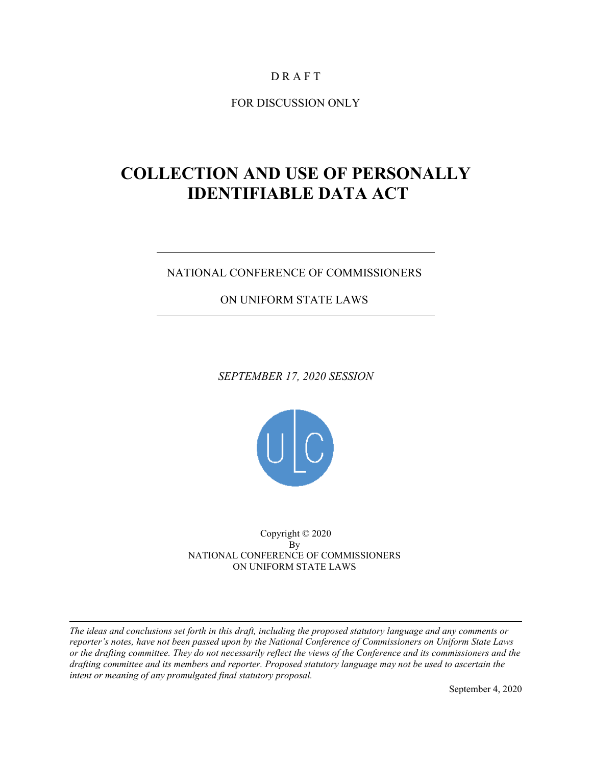## D R A F T

FOR DISCUSSION ONLY

# **COLLECTION AND USE OF PERSONALLY IDENTIFIABLE DATA ACT**

## NATIONAL CONFERENCE OF COMMISSIONERS

ON UNIFORM STATE LAWS

*SEPTEMBER 17, 2020 SESSION*



Copyright © 2020 By NATIONAL CONFERENCE OF COMMISSIONERS ON UNIFORM STATE LAWS

*The ideas and conclusions set forth in this draft, including the proposed statutory language and any comments or reporter's notes, have not been passed upon by the National Conference of Commissioners on Uniform State Laws or the drafting committee. They do not necessarily reflect the views of the Conference and its commissioners and the drafting committee and its members and reporter. Proposed statutory language may not be used to ascertain the intent or meaning of any promulgated final statutory proposal.*

September 4, 2020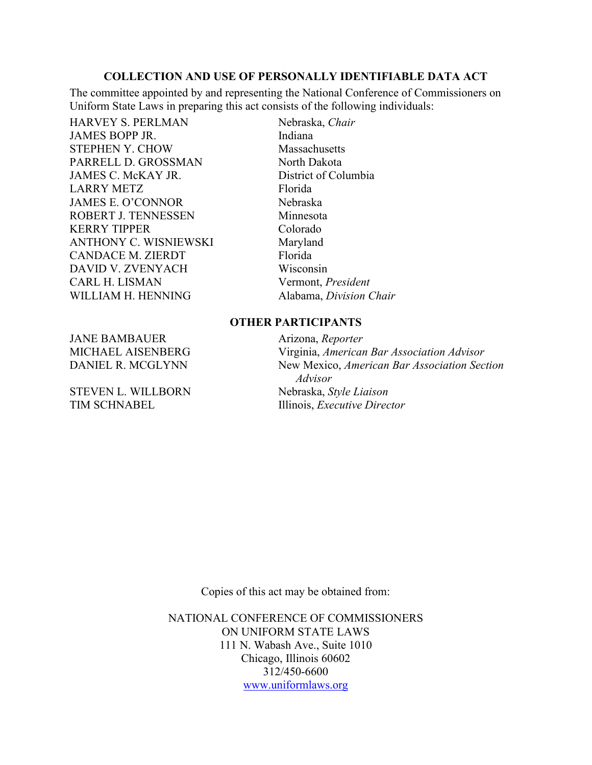The committee appointed by and representing the National Conference of Commissioners on Uniform State Laws in preparing this act consists of the following individuals:

HARVEY S. PERLMAN Nebraska, *Chair* JAMES BOPP JR. Indiana STEPHEN Y. CHOW Massachusetts PARRELL D. GROSSMAN North Dakota JAMES C. McKAY JR. District of Columbia LARRY METZ Florida JAMES E. O'CONNOR Nebraska ROBERT J. TENNESSEN Minnesota KERRY TIPPER Colorado ANTHONY C. WISNIEWSKI Maryland CANDACE M. ZIERDT Florida DAVID V. ZVENYACH Wisconsin CARL H. LISMAN Vermont, *President* WILLIAM H. HENNING Alabama, *Division Chair* 

### **OTHER PARTICIPANTS**

MICHAEL AISENBERG Virginia, *American Bar Association Advisor* DANIEL R. MCGLYNN New Mexico, *American Bar Association Section Advisor* TIM SCHNABEL Illinois, *Executive Director* 

JANE BAMBAUER **Arizona**, *Reporter* 

STEVEN L. WILLBORN Nebraska, *Style Liaison*

Copies of this act may be obtained from:

NATIONAL CONFERENCE OF COMMISSIONERS ON UNIFORM STATE LAWS 111 N. Wabash Ave., Suite 1010 Chicago, Illinois 60602 312/450-6600 [www.uniformlaws.org](http://www.uniformlaws.org/)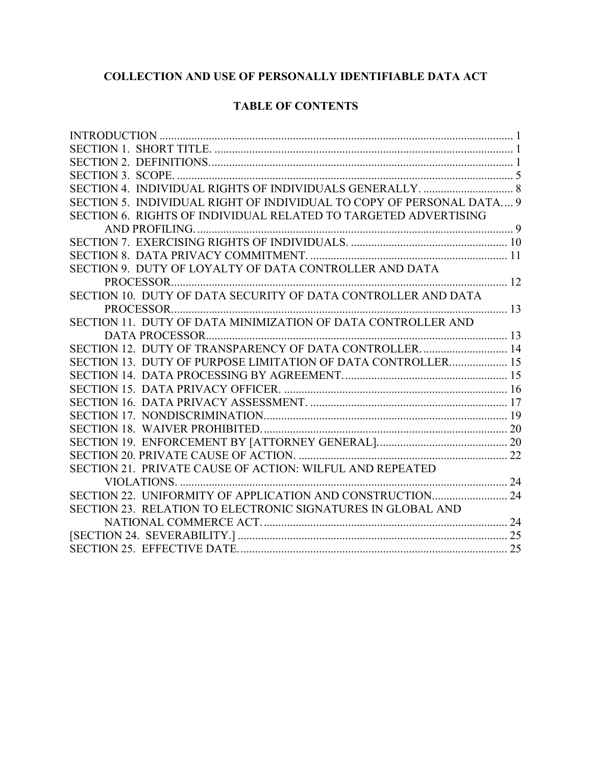## **TABLE OF CONTENTS**

| SECTION 5. INDIVIDUAL RIGHT OF INDIVIDUAL TO COPY OF PERSONAL DATA 9 |  |
|----------------------------------------------------------------------|--|
| SECTION 6. RIGHTS OF INDIVIDUAL RELATED TO TARGETED ADVERTISING      |  |
|                                                                      |  |
|                                                                      |  |
|                                                                      |  |
| SECTION 9. DUTY OF LOYALTY OF DATA CONTROLLER AND DATA               |  |
|                                                                      |  |
| SECTION 10. DUTY OF DATA SECURITY OF DATA CONTROLLER AND DATA        |  |
|                                                                      |  |
| SECTION 11. DUTY OF DATA MINIMIZATION OF DATA CONTROLLER AND         |  |
|                                                                      |  |
| SECTION 12. DUTY OF TRANSPARENCY OF DATA CONTROLLER 14               |  |
| SECTION 13. DUTY OF PURPOSE LIMITATION OF DATA CONTROLLER 15         |  |
|                                                                      |  |
|                                                                      |  |
|                                                                      |  |
|                                                                      |  |
|                                                                      |  |
|                                                                      |  |
|                                                                      |  |
| SECTION 21. PRIVATE CAUSE OF ACTION: WILFUL AND REPEATED             |  |
|                                                                      |  |
| SECTION 22. UNIFORMITY OF APPLICATION AND CONSTRUCTION 24            |  |
| SECTION 23. RELATION TO ELECTRONIC SIGNATURES IN GLOBAL AND          |  |
|                                                                      |  |
|                                                                      |  |
|                                                                      |  |
|                                                                      |  |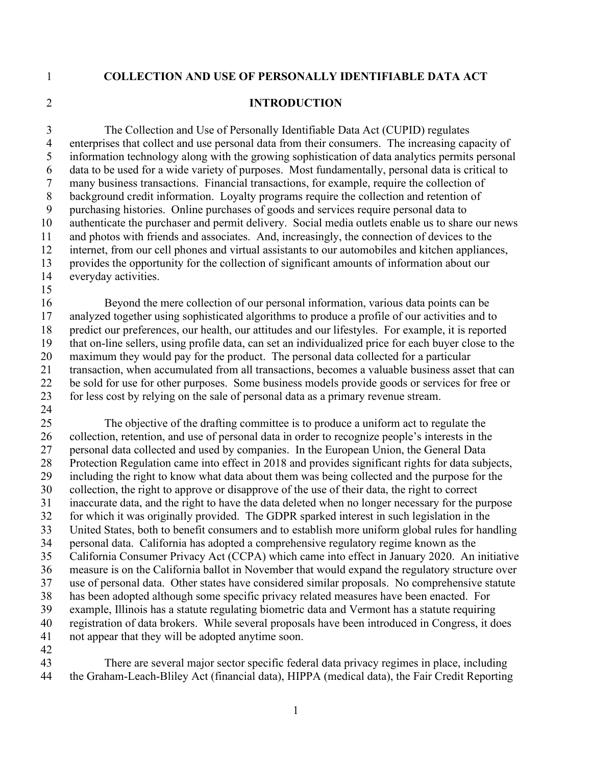#### <span id="page-3-0"></span>**INTRODUCTION**

 The Collection and Use of Personally Identifiable Data Act (CUPID) regulates enterprises that collect and use personal data from their consumers. The increasing capacity of information technology along with the growing sophistication of data analytics permits personal data to be used for a wide variety of purposes. Most fundamentally, personal data is critical to many business transactions. Financial transactions, for example, require the collection of background credit information. Loyalty programs require the collection and retention of purchasing histories. Online purchases of goods and services require personal data to authenticate the purchaser and permit delivery. Social media outlets enable us to share our news and photos with friends and associates. And, increasingly, the connection of devices to the internet, from our cell phones and virtual assistants to our automobiles and kitchen appliances, provides the opportunity for the collection of significant amounts of information about our everyday activities.

 Beyond the mere collection of our personal information, various data points can be analyzed together using sophisticated algorithms to produce a profile of our activities and to predict our preferences, our health, our attitudes and our lifestyles. For example, it is reported that on-line sellers, using profile data, can set an individualized price for each buyer close to the maximum they would pay for the product. The personal data collected for a particular transaction, when accumulated from all transactions, becomes a valuable business asset that can be sold for use for other purposes. Some business models provide goods or services for free or for less cost by relying on the sale of personal data as a primary revenue stream. 

 The objective of the drafting committee is to produce a uniform act to regulate the collection, retention, and use of personal data in order to recognize people's interests in the personal data collected and used by companies. In the European Union, the General Data Protection Regulation came into effect in 2018 and provides significant rights for data subjects, including the right to know what data about them was being collected and the purpose for the 30 collection, the right to approve or disapprove of the use of their data, the right to correct inaccurate data, and the right to have the data deleted when no longer necessary for the purpose for which it was originally provided. The GDPR sparked interest in such legislation in the United States, both to benefit consumers and to establish more uniform global rules for handling personal data. California has adopted a comprehensive regulatory regime known as the California Consumer Privacy Act (CCPA) which came into effect in January 2020. An initiative measure is on the California ballot in November that would expand the regulatory structure over use of personal data. Other states have considered similar proposals. No comprehensive statute has been adopted although some specific privacy related measures have been enacted. For example, Illinois has a statute regulating biometric data and Vermont has a statute requiring registration of data brokers. While several proposals have been introduced in Congress, it does not appear that they will be adopted anytime soon. 

 There are several major sector specific federal data privacy regimes in place, including the Graham-Leach-Bliley Act (financial data), HIPPA (medical data), the Fair Credit Reporting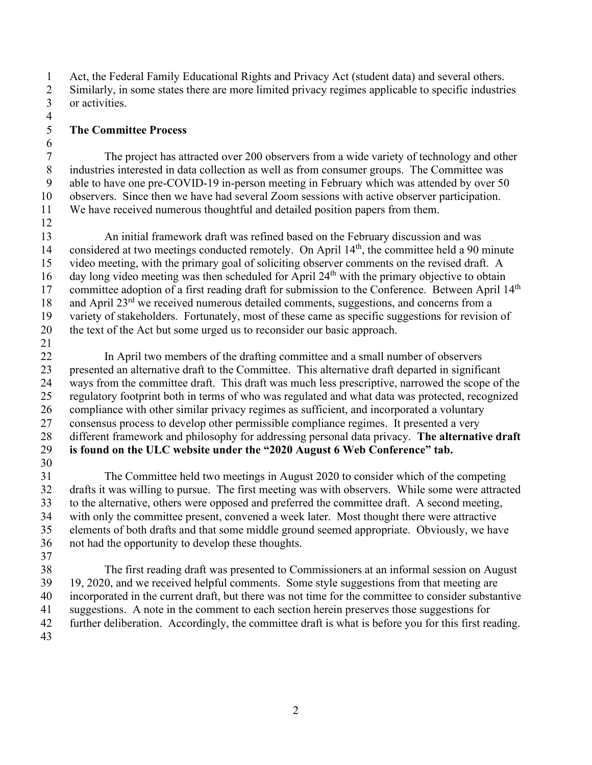Act, the Federal Family Educational Rights and Privacy Act (student data) and several others. Similarly, in some states there are more limited privacy regimes applicable to specific industries or activities.  $\frac{4}{5}$ 

## **The Committee Process**

 The project has attracted over 200 observers from a wide variety of technology and other industries interested in data collection as well as from consumer groups. The Committee was able to have one pre-COVID-19 in-person meeting in February which was attended by over 50 observers. Since then we have had several Zoom sessions with active observer participation. We have received numerous thoughtful and detailed position papers from them.

 An initial framework draft was refined based on the February discussion and was 14 considered at two meetings conducted remotely. On April  $14<sup>th</sup>$ , the committee held a 90 minute video meeting, with the primary goal of soliciting observer comments on the revised draft. A 16 day long video meeting was then scheduled for April  $24<sup>th</sup>$  with the primary objective to obtain 17 committee adoption of a first reading draft for submission to the Conference. Between April 14<sup>th</sup> 18 and April  $23<sup>rd</sup>$  we received numerous detailed comments, suggestions, and concerns from a variety of stakeholders. Fortunately, most of these came as specific suggestions for revision of the text of the Act but some urged us to reconsider our basic approach.

 In April two members of the drafting committee and a small number of observers presented an alternative draft to the Committee. This alternative draft departed in significant ways from the committee draft. This draft was much less prescriptive, narrowed the scope of the regulatory footprint both in terms of who was regulated and what data was protected, recognized compliance with other similar privacy regimes as sufficient, and incorporated a voluntary consensus process to develop other permissible compliance regimes. It presented a very different framework and philosophy for addressing personal data privacy. **The alternative draft is found on the ULC website under the "2020 August 6 Web Conference" tab.** 

 The Committee held two meetings in August 2020 to consider which of the competing drafts it was willing to pursue. The first meeting was with observers. While some were attracted to the alternative, others were opposed and preferred the committee draft. A second meeting, with only the committee present, convened a week later. Most thought there were attractive elements of both drafts and that some middle ground seemed appropriate. Obviously, we have not had the opportunity to develop these thoughts.

 The first reading draft was presented to Commissioners at an informal session on August 19, 2020, and we received helpful comments. Some style suggestions from that meeting are incorporated in the current draft, but there was not time for the committee to consider substantive suggestions. A note in the comment to each section herein preserves those suggestions for further deliberation. Accordingly, the committee draft is what is before you for this first reading.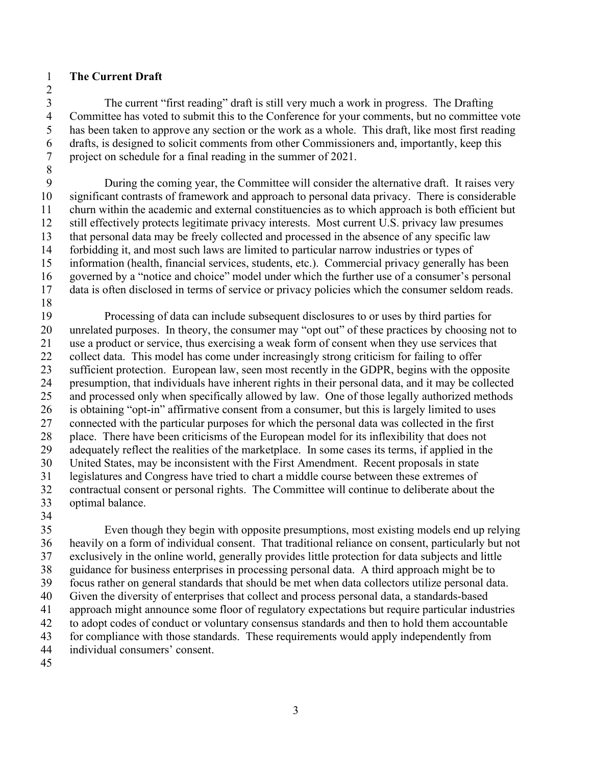## **The Current Draft**

 The current "first reading" draft is still very much a work in progress. The Drafting Committee has voted to submit this to the Conference for your comments, but no committee vote has been taken to approve any section or the work as a whole. This draft, like most first reading drafts, is designed to solicit comments from other Commissioners and, importantly, keep this project on schedule for a final reading in the summer of 2021.

 During the coming year, the Committee will consider the alternative draft. It raises very significant contrasts of framework and approach to personal data privacy. There is considerable churn within the academic and external constituencies as to which approach is both efficient but still effectively protects legitimate privacy interests. Most current U.S. privacy law presumes that personal data may be freely collected and processed in the absence of any specific law forbidding it, and most such laws are limited to particular narrow industries or types of information (health, financial services, students, etc.). Commercial privacy generally has been governed by a "notice and choice" model under which the further use of a consumer's personal data is often disclosed in terms of service or privacy policies which the consumer seldom reads.

 Processing of data can include subsequent disclosures to or uses by third parties for unrelated purposes. In theory, the consumer may "opt out" of these practices by choosing not to use a product or service, thus exercising a weak form of consent when they use services that 22 collect data. This model has come under increasingly strong criticism for failing to offer sufficient protection. European law, seen most recently in the GDPR, begins with the opposite presumption, that individuals have inherent rights in their personal data, and it may be collected and processed only when specifically allowed by law. One of those legally authorized methods is obtaining "opt-in" affirmative consent from a consumer, but this is largely limited to uses connected with the particular purposes for which the personal data was collected in the first place. There have been criticisms of the European model for its inflexibility that does not adequately reflect the realities of the marketplace. In some cases its terms, if applied in the United States, may be inconsistent with the First Amendment. Recent proposals in state legislatures and Congress have tried to chart a middle course between these extremes of contractual consent or personal rights. The Committee will continue to deliberate about the optimal balance.

 Even though they begin with opposite presumptions, most existing models end up relying heavily on a form of individual consent. That traditional reliance on consent, particularly but not exclusively in the online world, generally provides little protection for data subjects and little guidance for business enterprises in processing personal data. A third approach might be to focus rather on general standards that should be met when data collectors utilize personal data. Given the diversity of enterprises that collect and process personal data, a standards-based approach might announce some floor of regulatory expectations but require particular industries to adopt codes of conduct or voluntary consensus standards and then to hold them accountable for compliance with those standards. These requirements would apply independently from individual consumers' consent.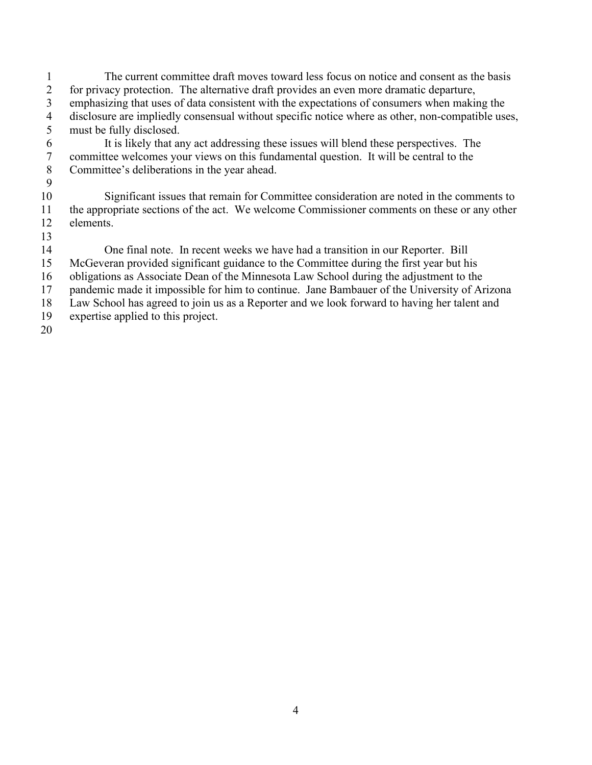- The current committee draft moves toward less focus on notice and consent as the basis for privacy protection. The alternative draft provides an even more dramatic departure, emphasizing that uses of data consistent with the expectations of consumers when making the 4 disclosure are impliedly consensual without specific notice where as other, non-compatible uses,<br>5 must be fully disclosed. must be fully disclosed.
- It is likely that any act addressing these issues will blend these perspectives. The committee welcomes your views on this fundamental question. It will be central to the Committee's deliberations in the year ahead.
- Significant issues that remain for Committee consideration are noted in the comments to the appropriate sections of the act. We welcome Commissioner comments on these or any other elements.
- One final note. In recent weeks we have had a transition in our Reporter. Bill McGeveran provided significant guidance to the Committee during the first year but his obligations as Associate Dean of the Minnesota Law School during the adjustment to the pandemic made it impossible for him to continue. Jane Bambauer of the University of Arizona Law School has agreed to join us as a Reporter and we look forward to having her talent and expertise applied to this project.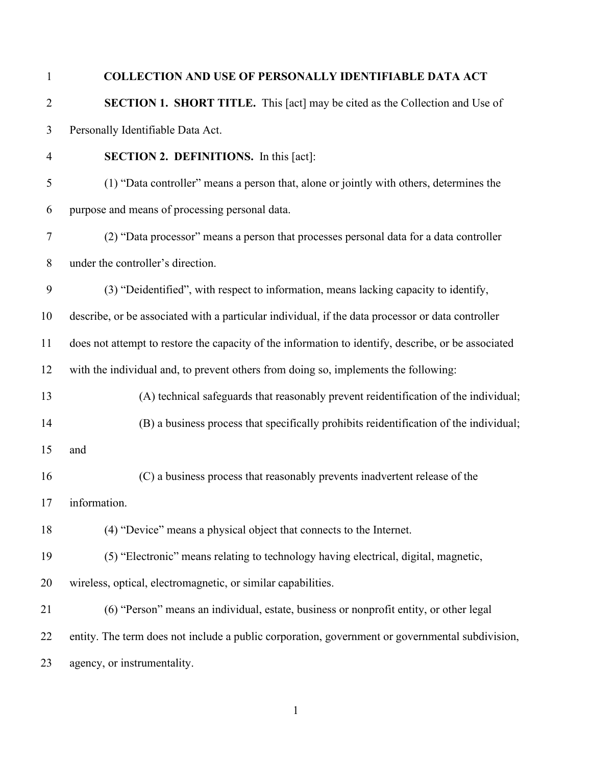<span id="page-7-0"></span> **SECTION 1. SHORT TITLE.** This [act] may be cited as the Collection and Use of Personally Identifiable Data Act.

- <span id="page-7-1"></span> **SECTION 2. DEFINITIONS.** In this [act]: (1) "Data controller" means a person that, alone or jointly with others, determines the
- purpose and means of processing personal data.
- (2) "Data processor" means a person that processes personal data for a data controller under the controller's direction.
- (3) "Deidentified", with respect to information, means lacking capacity to identify,
- describe, or be associated with a particular individual, if the data processor or data controller
- does not attempt to restore the capacity of the information to identify, describe, or be associated with the individual and, to prevent others from doing so, implements the following:
- (A) technical safeguards that reasonably prevent reidentification of the individual;
- (B) a business process that specifically prohibits reidentification of the individual;
- and
- (C) a business process that reasonably prevents inadvertent release of the
- information.

(4) "Device" means a physical object that connects to the Internet.

- (5) "Electronic" means relating to technology having electrical, digital, magnetic,
- wireless, optical, electromagnetic, or similar capabilities.
- (6) "Person" means an individual, estate, business or nonprofit entity, or other legal entity. The term does not include a public corporation, government or governmental subdivision, agency, or instrumentality.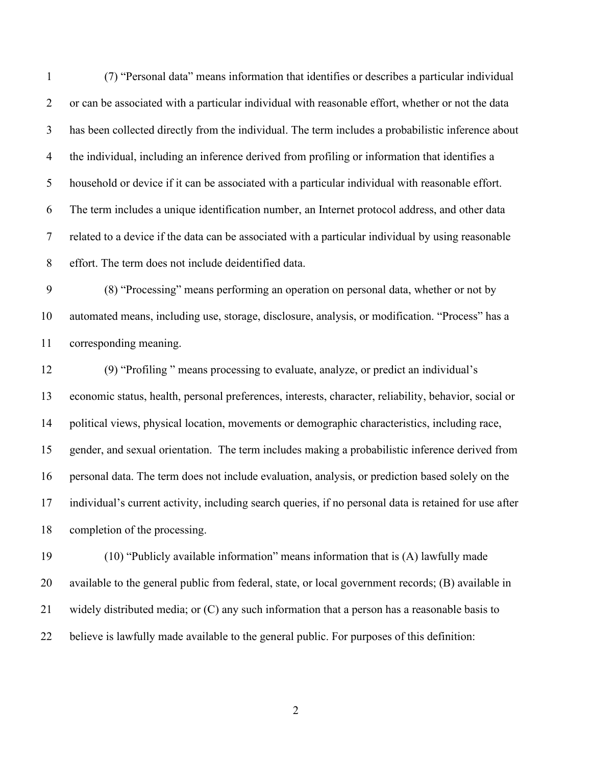(7) "Personal data" means information that identifies or describes a particular individual or can be associated with a particular individual with reasonable effort, whether or not the data has been collected directly from the individual. The term includes a probabilistic inference about the individual, including an inference derived from profiling or information that identifies a household or device if it can be associated with a particular individual with reasonable effort. The term includes a unique identification number, an Internet protocol address, and other data related to a device if the data can be associated with a particular individual by using reasonable effort. The term does not include deidentified data.

 (8) "Processing" means performing an operation on personal data, whether or not by automated means, including use, storage, disclosure, analysis, or modification. "Process" has a corresponding meaning.

 (9) "Profiling " means processing to evaluate, analyze, or predict an individual's economic status, health, personal preferences, interests, character, reliability, behavior, social or political views, physical location, movements or demographic characteristics, including race, gender, and sexual orientation. The term includes making a probabilistic inference derived from personal data. The term does not include evaluation, analysis, or prediction based solely on the individual's current activity, including search queries, if no personal data is retained for use after completion of the processing.

 (10) "Publicly available information" means information that is (A) lawfully made available to the general public from federal, state, or local government records; (B) available in widely distributed media; or (C) any such information that a person has a reasonable basis to believe is lawfully made available to the general public. For purposes of this definition: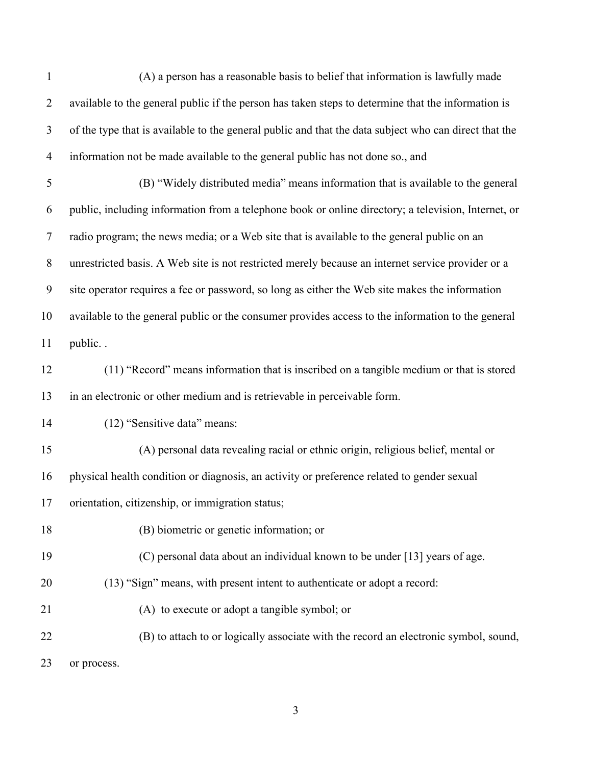| $\mathbf{1}$   | (A) a person has a reasonable basis to belief that information is lawfully made                       |
|----------------|-------------------------------------------------------------------------------------------------------|
| $\overline{2}$ | available to the general public if the person has taken steps to determine that the information is    |
| 3              | of the type that is available to the general public and that the data subject who can direct that the |
| $\overline{4}$ | information not be made available to the general public has not done so., and                         |
| $\mathfrak s$  | (B) "Widely distributed media" means information that is available to the general                     |
| 6              | public, including information from a telephone book or online directory; a television, Internet, or   |
| $\tau$         | radio program; the news media; or a Web site that is available to the general public on an            |
| $8\,$          | unrestricted basis. A Web site is not restricted merely because an internet service provider or a     |
| 9              | site operator requires a fee or password, so long as either the Web site makes the information        |
| 10             | available to the general public or the consumer provides access to the information to the general     |
| 11             | public                                                                                                |
| 12             | (11) "Record" means information that is inscribed on a tangible medium or that is stored              |
| 13             | in an electronic or other medium and is retrievable in perceivable form.                              |
| 14             | (12) "Sensitive data" means:                                                                          |
| 15             | (A) personal data revealing racial or ethnic origin, religious belief, mental or                      |
| 16             | physical health condition or diagnosis, an activity or preference related to gender sexual            |
| 17             | orientation, citizenship, or immigration status;                                                      |
| 18             | (B) biometric or genetic information; or                                                              |
| 19             | (C) personal data about an individual known to be under [13] years of age.                            |
| 20             | (13) "Sign" means, with present intent to authenticate or adopt a record:                             |
| 21             | (A) to execute or adopt a tangible symbol; or                                                         |
| 22             | (B) to attach to or logically associate with the record an electronic symbol, sound,                  |
| 23             | or process.                                                                                           |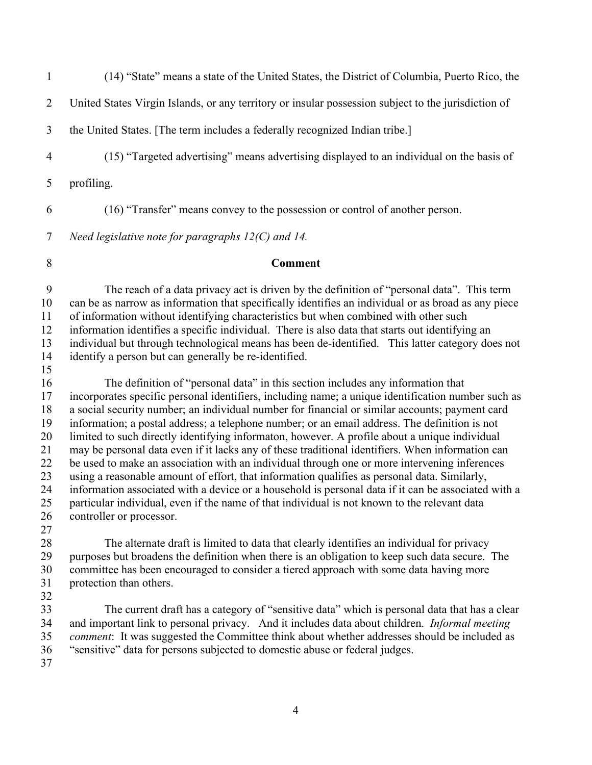| $\mathbf{1}$                                                               | (14) "State" means a state of the United States, the District of Columbia, Puerto Rico, the                                                                                                                                                                                                                                                                                                                                                                                                                                                                                                                                                                                                                                                                                                                                                                                                                                                                                                                                      |
|----------------------------------------------------------------------------|----------------------------------------------------------------------------------------------------------------------------------------------------------------------------------------------------------------------------------------------------------------------------------------------------------------------------------------------------------------------------------------------------------------------------------------------------------------------------------------------------------------------------------------------------------------------------------------------------------------------------------------------------------------------------------------------------------------------------------------------------------------------------------------------------------------------------------------------------------------------------------------------------------------------------------------------------------------------------------------------------------------------------------|
| $\overline{2}$                                                             | United States Virgin Islands, or any territory or insular possession subject to the jurisdiction of                                                                                                                                                                                                                                                                                                                                                                                                                                                                                                                                                                                                                                                                                                                                                                                                                                                                                                                              |
| 3                                                                          | the United States. [The term includes a federally recognized Indian tribe.]                                                                                                                                                                                                                                                                                                                                                                                                                                                                                                                                                                                                                                                                                                                                                                                                                                                                                                                                                      |
| $\overline{4}$                                                             | (15) "Targeted advertising" means advertising displayed to an individual on the basis of                                                                                                                                                                                                                                                                                                                                                                                                                                                                                                                                                                                                                                                                                                                                                                                                                                                                                                                                         |
| 5                                                                          | profiling.                                                                                                                                                                                                                                                                                                                                                                                                                                                                                                                                                                                                                                                                                                                                                                                                                                                                                                                                                                                                                       |
| 6                                                                          | (16) "Transfer" means convey to the possession or control of another person.                                                                                                                                                                                                                                                                                                                                                                                                                                                                                                                                                                                                                                                                                                                                                                                                                                                                                                                                                     |
| 7                                                                          | Need legislative note for paragraphs $12(C)$ and 14.                                                                                                                                                                                                                                                                                                                                                                                                                                                                                                                                                                                                                                                                                                                                                                                                                                                                                                                                                                             |
| 8                                                                          | <b>Comment</b>                                                                                                                                                                                                                                                                                                                                                                                                                                                                                                                                                                                                                                                                                                                                                                                                                                                                                                                                                                                                                   |
| 9<br>10<br>11<br>12<br>13<br>14                                            | The reach of a data privacy act is driven by the definition of "personal data". This term<br>can be as narrow as information that specifically identifies an individual or as broad as any piece<br>of information without identifying characteristics but when combined with other such<br>information identifies a specific individual. There is also data that starts out identifying an<br>individual but through technological means has been de-identified. This latter category does not<br>identify a person but can generally be re-identified.                                                                                                                                                                                                                                                                                                                                                                                                                                                                         |
| 15<br>16<br>17<br>18<br>19<br>20<br>21<br>22<br>23<br>24<br>25<br>26<br>27 | The definition of "personal data" in this section includes any information that<br>incorporates specific personal identifiers, including name; a unique identification number such as<br>a social security number; an individual number for financial or similar accounts; payment card<br>information; a postal address; a telephone number; or an email address. The definition is not<br>limited to such directly identifying informaton, however. A profile about a unique individual<br>may be personal data even if it lacks any of these traditional identifiers. When information can<br>be used to make an association with an individual through one or more intervening inferences<br>using a reasonable amount of effort, that information qualifies as personal data. Similarly,<br>information associated with a device or a household is personal data if it can be associated with a<br>particular individual, even if the name of that individual is not known to the relevant data<br>controller or processor. |
| 28<br>29<br>30<br>31                                                       | The alternate draft is limited to data that clearly identifies an individual for privacy<br>purposes but broadens the definition when there is an obligation to keep such data secure. The<br>committee has been encouraged to consider a tiered approach with some data having more<br>protection than others.                                                                                                                                                                                                                                                                                                                                                                                                                                                                                                                                                                                                                                                                                                                  |
| 32<br>33<br>34<br>35<br>36<br>37                                           | The current draft has a category of "sensitive data" which is personal data that has a clear<br>and important link to personal privacy. And it includes data about children. Informal meeting<br>comment: It was suggested the Committee think about whether addresses should be included as<br>"sensitive" data for persons subjected to domestic abuse or federal judges.                                                                                                                                                                                                                                                                                                                                                                                                                                                                                                                                                                                                                                                      |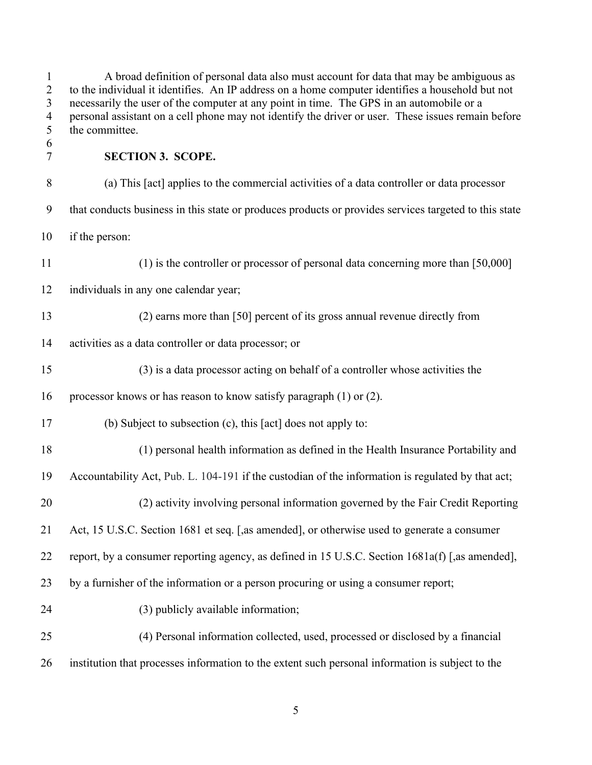<span id="page-11-0"></span>

| $\mathbf{1}$<br>$\overline{2}$<br>3<br>$\overline{4}$<br>5 | A broad definition of personal data also must account for data that may be ambiguous as<br>to the individual it identifies. An IP address on a home computer identifies a household but not<br>necessarily the user of the computer at any point in time. The GPS in an automobile or a<br>personal assistant on a cell phone may not identify the driver or user. These issues remain before<br>the committee. |
|------------------------------------------------------------|-----------------------------------------------------------------------------------------------------------------------------------------------------------------------------------------------------------------------------------------------------------------------------------------------------------------------------------------------------------------------------------------------------------------|
| 6<br>$\tau$                                                | <b>SECTION 3. SCOPE.</b>                                                                                                                                                                                                                                                                                                                                                                                        |
| 8                                                          | (a) This [act] applies to the commercial activities of a data controller or data processor                                                                                                                                                                                                                                                                                                                      |
| 9                                                          | that conducts business in this state or produces products or provides services targeted to this state                                                                                                                                                                                                                                                                                                           |
| 10                                                         | if the person:                                                                                                                                                                                                                                                                                                                                                                                                  |
| 11                                                         | $(1)$ is the controller or processor of personal data concerning more than [50,000]                                                                                                                                                                                                                                                                                                                             |
| 12                                                         | individuals in any one calendar year;                                                                                                                                                                                                                                                                                                                                                                           |
| 13                                                         | (2) earns more than [50] percent of its gross annual revenue directly from                                                                                                                                                                                                                                                                                                                                      |
| 14                                                         | activities as a data controller or data processor; or                                                                                                                                                                                                                                                                                                                                                           |
| 15                                                         | (3) is a data processor acting on behalf of a controller whose activities the                                                                                                                                                                                                                                                                                                                                   |
| 16                                                         | processor knows or has reason to know satisfy paragraph (1) or (2).                                                                                                                                                                                                                                                                                                                                             |
| 17                                                         | (b) Subject to subsection (c), this [act] does not apply to:                                                                                                                                                                                                                                                                                                                                                    |
| 18                                                         | (1) personal health information as defined in the Health Insurance Portability and                                                                                                                                                                                                                                                                                                                              |
| 19                                                         | Accountability Act, Pub. L. 104-191 if the custodian of the information is regulated by that act;                                                                                                                                                                                                                                                                                                               |
| 20                                                         | (2) activity involving personal information governed by the Fair Credit Reporting                                                                                                                                                                                                                                                                                                                               |
| 21                                                         | Act, 15 U.S.C. Section 1681 et seq. [, as amended], or otherwise used to generate a consumer                                                                                                                                                                                                                                                                                                                    |
| 22                                                         | report, by a consumer reporting agency, as defined in 15 U.S.C. Section 1681a(f) [,as amended],                                                                                                                                                                                                                                                                                                                 |
| 23                                                         | by a furnisher of the information or a person procuring or using a consumer report;                                                                                                                                                                                                                                                                                                                             |
| 24                                                         | (3) publicly available information;                                                                                                                                                                                                                                                                                                                                                                             |
| 25                                                         | (4) Personal information collected, used, processed or disclosed by a financial                                                                                                                                                                                                                                                                                                                                 |
| 26                                                         | institution that processes information to the extent such personal information is subject to the                                                                                                                                                                                                                                                                                                                |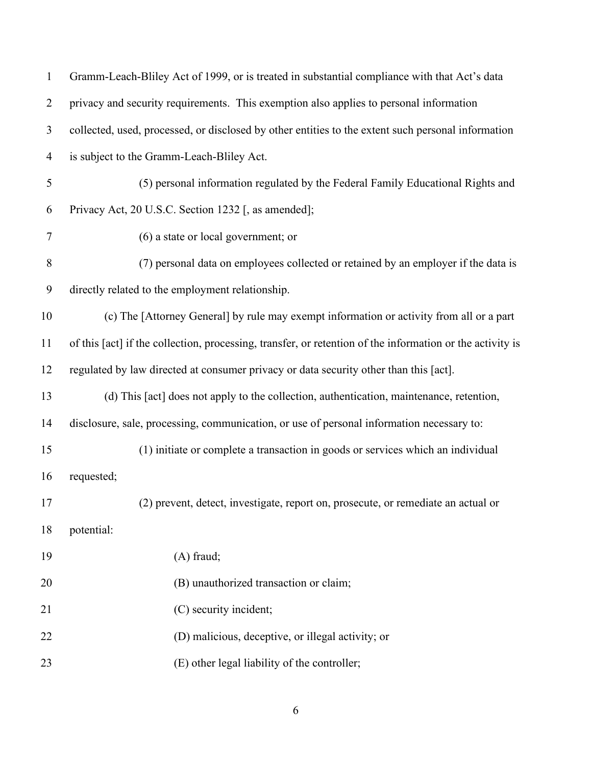| $\mathbf{1}$   | Gramm-Leach-Bliley Act of 1999, or is treated in substantial compliance with that Act's data              |
|----------------|-----------------------------------------------------------------------------------------------------------|
| $\overline{2}$ | privacy and security requirements. This exemption also applies to personal information                    |
| 3              | collected, used, processed, or disclosed by other entities to the extent such personal information        |
| $\overline{4}$ | is subject to the Gramm-Leach-Bliley Act.                                                                 |
| 5              | (5) personal information regulated by the Federal Family Educational Rights and                           |
| 6              | Privacy Act, 20 U.S.C. Section 1232 [, as amended];                                                       |
| $\tau$         | (6) a state or local government; or                                                                       |
| 8              | (7) personal data on employees collected or retained by an employer if the data is                        |
| 9              | directly related to the employment relationship.                                                          |
| 10             | (c) The [Attorney General] by rule may exempt information or activity from all or a part                  |
| 11             | of this [act] if the collection, processing, transfer, or retention of the information or the activity is |
| 12             | regulated by law directed at consumer privacy or data security other than this [act].                     |
| 13             | (d) This [act] does not apply to the collection, authentication, maintenance, retention,                  |
| 14             | disclosure, sale, processing, communication, or use of personal information necessary to:                 |
| 15             | (1) initiate or complete a transaction in goods or services which an individual                           |
| 16             | requested;                                                                                                |
| 17             | (2) prevent, detect, investigate, report on, prosecute, or remediate an actual or                         |
| 18             | potential:                                                                                                |
| 19             | $(A)$ fraud;                                                                                              |
| 20             | (B) unauthorized transaction or claim;                                                                    |
| 21             | (C) security incident;                                                                                    |
| 22             | (D) malicious, deceptive, or illegal activity; or                                                         |
| 23             | (E) other legal liability of the controller;                                                              |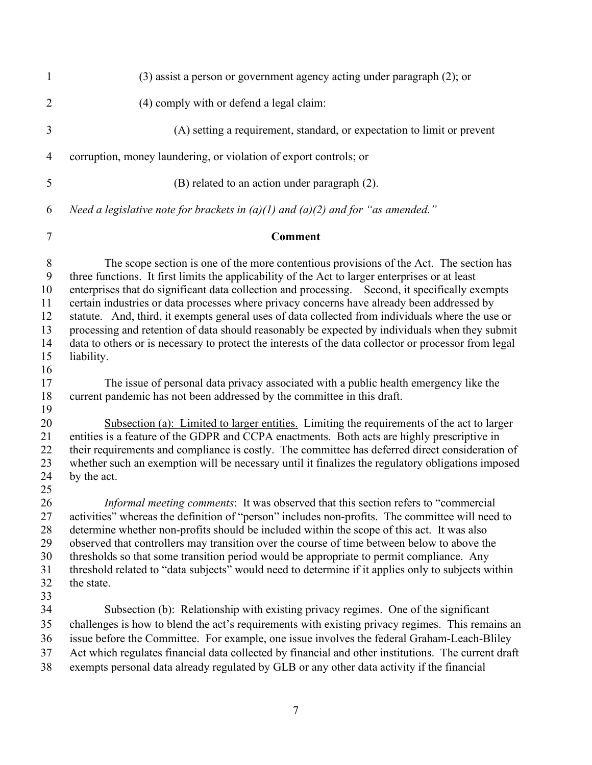| 1                                                    | $(3)$ assist a person or government agency acting under paragraph $(2)$ ; or                                                                                                                                                                                                                                                                                                                                                                                                                                                                                                                                                                                                                                             |
|------------------------------------------------------|--------------------------------------------------------------------------------------------------------------------------------------------------------------------------------------------------------------------------------------------------------------------------------------------------------------------------------------------------------------------------------------------------------------------------------------------------------------------------------------------------------------------------------------------------------------------------------------------------------------------------------------------------------------------------------------------------------------------------|
| $\overline{2}$                                       | (4) comply with or defend a legal claim:                                                                                                                                                                                                                                                                                                                                                                                                                                                                                                                                                                                                                                                                                 |
| 3                                                    | (A) setting a requirement, standard, or expectation to limit or prevent                                                                                                                                                                                                                                                                                                                                                                                                                                                                                                                                                                                                                                                  |
| 4                                                    | corruption, money laundering, or violation of export controls; or                                                                                                                                                                                                                                                                                                                                                                                                                                                                                                                                                                                                                                                        |
| 5                                                    | (B) related to an action under paragraph (2).                                                                                                                                                                                                                                                                                                                                                                                                                                                                                                                                                                                                                                                                            |
| 6                                                    | Need a legislative note for brackets in $(a)(1)$ and $(a)(2)$ and for "as amended."                                                                                                                                                                                                                                                                                                                                                                                                                                                                                                                                                                                                                                      |
| $\tau$                                               | <b>Comment</b>                                                                                                                                                                                                                                                                                                                                                                                                                                                                                                                                                                                                                                                                                                           |
| $8\,$<br>9<br>10<br>11<br>12<br>13<br>14<br>15<br>16 | The scope section is one of the more contentious provisions of the Act. The section has<br>three functions. It first limits the applicability of the Act to larger enterprises or at least<br>enterprises that do significant data collection and processing. Second, it specifically exempts<br>certain industries or data processes where privacy concerns have already been addressed by<br>statute. And, third, it exempts general uses of data collected from individuals where the use or<br>processing and retention of data should reasonably be expected by individuals when they submit<br>data to others or is necessary to protect the interests of the data collector or processor from legal<br>liability. |
| 17<br>18<br>19                                       | The issue of personal data privacy associated with a public health emergency like the<br>current pandemic has not been addressed by the committee in this draft.                                                                                                                                                                                                                                                                                                                                                                                                                                                                                                                                                         |
| 20<br>21<br>22<br>23<br>24<br>25                     | Subsection (a): Limited to larger entities. Limiting the requirements of the act to larger<br>entities is a feature of the GDPR and CCPA enactments. Both acts are highly prescriptive in<br>their requirements and compliance is costly. The committee has deferred direct consideration of<br>whether such an exemption will be necessary until it finalizes the regulatory obligations imposed<br>by the act.                                                                                                                                                                                                                                                                                                         |
| 26<br>27<br>28<br>29<br>30<br>31<br>32               | <i>Informal meeting comments</i> : It was observed that this section refers to "commercial"<br>activities" whereas the definition of "person" includes non-profits. The committee will need to<br>determine whether non-profits should be included within the scope of this act. It was also<br>observed that controllers may transition over the course of time between below to above the<br>thresholds so that some transition period would be appropriate to permit compliance. Any<br>threshold related to "data subjects" would need to determine if it applies only to subjects within<br>the state.                                                                                                              |
| 33<br>34<br>35<br>36<br>37<br>38                     | Subsection (b): Relationship with existing privacy regimes. One of the significant<br>challenges is how to blend the act's requirements with existing privacy regimes. This remains an<br>issue before the Committee. For example, one issue involves the federal Graham-Leach-Bliley<br>Act which regulates financial data collected by financial and other institutions. The current draft<br>exempts personal data already regulated by GLB or any other data activity if the financial                                                                                                                                                                                                                               |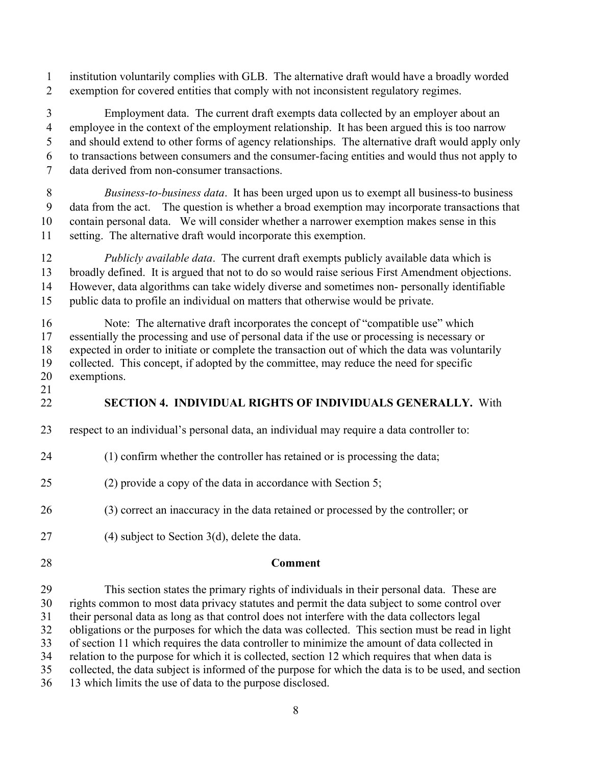institution voluntarily complies with GLB. The alternative draft would have a broadly worded exemption for covered entities that comply with not inconsistent regulatory regimes.

 Employment data. The current draft exempts data collected by an employer about an employee in the context of the employment relationship. It has been argued this is too narrow and should extend to other forms of agency relationships. The alternative draft would apply only to transactions between consumers and the consumer-facing entities and would thus not apply to data derived from non-consumer transactions.

 *Business-to-business data*. It has been urged upon us to exempt all business-to business data from the act. The question is whether a broad exemption may incorporate transactions that contain personal data. We will consider whether a narrower exemption makes sense in this setting. The alternative draft would incorporate this exemption.

 *Publicly available data*. The current draft exempts publicly available data which is broadly defined. It is argued that not to do so would raise serious First Amendment objections. However, data algorithms can take widely diverse and sometimes non- personally identifiable public data to profile an individual on matters that otherwise would be private.

 Note: The alternative draft incorporates the concept of "compatible use" which essentially the processing and use of personal data if the use or processing is necessary or expected in order to initiate or complete the transaction out of which the data was voluntarily collected. This concept, if adopted by the committee, may reduce the need for specific exemptions.

<span id="page-14-0"></span>

## **SECTION 4. INDIVIDUAL RIGHTS OF INDIVIDUALS GENERALLY.** With

- respect to an individual's personal data, an individual may require a data controller to:
- (1) confirm whether the controller has retained or is processing the data;
- (2) provide a copy of the data in accordance with Section 5;

(3) correct an inaccuracy in the data retained or processed by the controller; or

(4) subject to Section 3(d), delete the data.

#### **Comment**

 This section states the primary rights of individuals in their personal data. These are rights common to most data privacy statutes and permit the data subject to some control over their personal data as long as that control does not interfere with the data collectors legal obligations or the purposes for which the data was collected. This section must be read in light of section 11 which requires the data controller to minimize the amount of data collected in relation to the purpose for which it is collected, section 12 which requires that when data is collected, the data subject is informed of the purpose for which the data is to be used, and section 13 which limits the use of data to the purpose disclosed.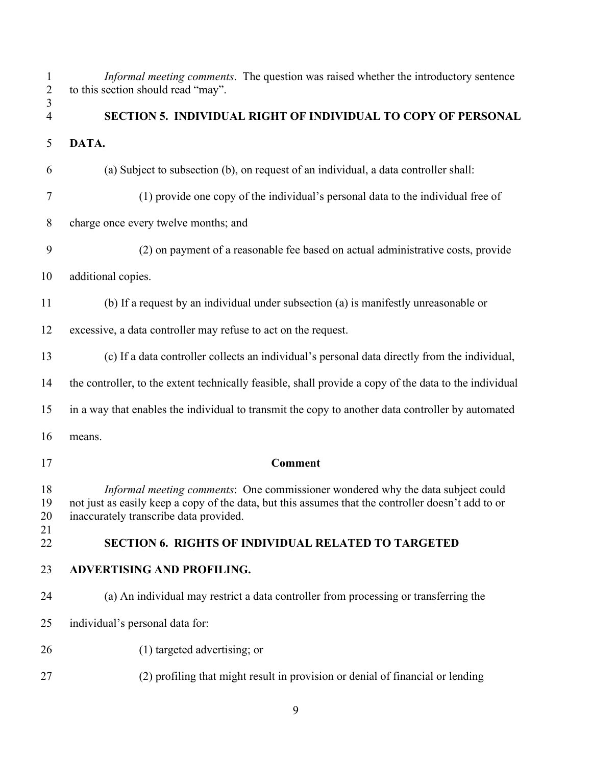<span id="page-15-1"></span><span id="page-15-0"></span>

| $\mathbf{1}$<br>$\overline{2}$<br>3 | Informal meeting comments. The question was raised whether the introductory sentence<br>to this section should read "may".                                                                                                      |
|-------------------------------------|---------------------------------------------------------------------------------------------------------------------------------------------------------------------------------------------------------------------------------|
| 4                                   | SECTION 5. INDIVIDUAL RIGHT OF INDIVIDUAL TO COPY OF PERSONAL                                                                                                                                                                   |
| 5                                   | DATA.                                                                                                                                                                                                                           |
| 6                                   | (a) Subject to subsection (b), on request of an individual, a data controller shall:                                                                                                                                            |
| 7                                   | (1) provide one copy of the individual's personal data to the individual free of                                                                                                                                                |
| 8                                   | charge once every twelve months; and                                                                                                                                                                                            |
| 9                                   | (2) on payment of a reasonable fee based on actual administrative costs, provide                                                                                                                                                |
| 10                                  | additional copies.                                                                                                                                                                                                              |
| 11                                  | (b) If a request by an individual under subsection (a) is manifestly unreasonable or                                                                                                                                            |
| 12                                  | excessive, a data controller may refuse to act on the request.                                                                                                                                                                  |
| 13                                  | (c) If a data controller collects an individual's personal data directly from the individual,                                                                                                                                   |
| 14                                  | the controller, to the extent technically feasible, shall provide a copy of the data to the individual                                                                                                                          |
| 15                                  | in a way that enables the individual to transmit the copy to another data controller by automated                                                                                                                               |
| 16                                  | means.                                                                                                                                                                                                                          |
| 17                                  | <b>Comment</b>                                                                                                                                                                                                                  |
| 18<br>19<br>20                      | Informal meeting comments: One commissioner wondered why the data subject could<br>not just as easily keep a copy of the data, but this assumes that the controller doesn't add to or<br>inaccurately transcribe data provided. |
| 21<br>22                            | <b>SECTION 6. RIGHTS OF INDIVIDUAL RELATED TO TARGETED</b>                                                                                                                                                                      |
| 23                                  | <b>ADVERTISING AND PROFILING.</b>                                                                                                                                                                                               |
| 24                                  | (a) An individual may restrict a data controller from processing or transferring the                                                                                                                                            |
| 25                                  | individual's personal data for:                                                                                                                                                                                                 |
| 26                                  | (1) targeted advertising; or                                                                                                                                                                                                    |
| 27                                  | (2) profiling that might result in provision or denial of financial or lending                                                                                                                                                  |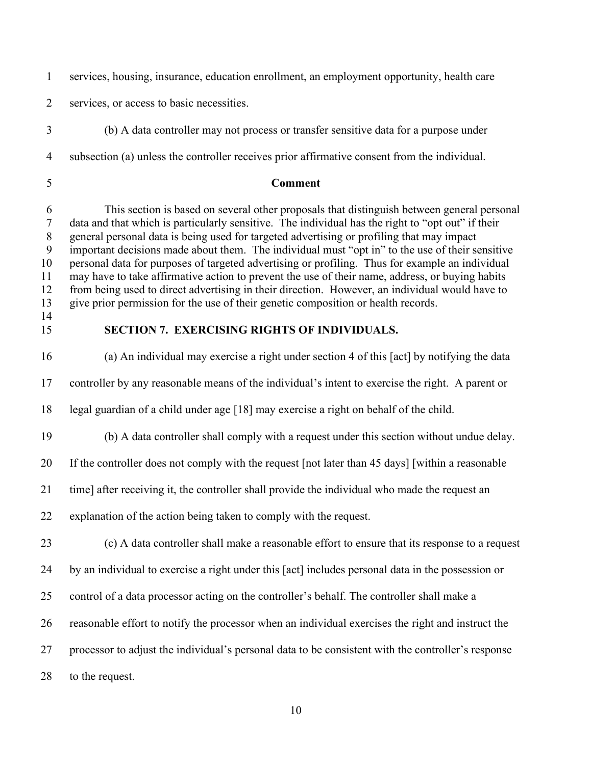services, housing, insurance, education enrollment, an employment opportunity, health care

services, or access to basic necessities.

(b) A data controller may not process or transfer sensitive data for a purpose under

subsection (a) unless the controller receives prior affirmative consent from the individual.

## **Comment**

 This section is based on several other proposals that distinguish between general personal data and that which is particularly sensitive. The individual has the right to "opt out" if their general personal data is being used for targeted advertising or profiling that may impact important decisions made about them. The individual must "opt in" to the use of their sensitive personal data for purposes of targeted advertising or profiling. Thus for example an individual may have to take affirmative action to prevent the use of their name, address, or buying habits from being used to direct advertising in their direction. However, an individual would have to give prior permission for the use of their genetic composition or health records. 

<span id="page-16-0"></span>

## **SECTION 7. EXERCISING RIGHTS OF INDIVIDUALS.**

 (a) An individual may exercise a right under section 4 of this [act] by notifying the data controller by any reasonable means of the individual's intent to exercise the right. A parent or

legal guardian of a child under age [18] may exercise a right on behalf of the child.

(b) A data controller shall comply with a request under this section without undue delay.

If the controller does not comply with the request [not later than 45 days] [within a reasonable

time] after receiving it, the controller shall provide the individual who made the request an

explanation of the action being taken to comply with the request.

(c) A data controller shall make a reasonable effort to ensure that its response to a request

by an individual to exercise a right under this [act] includes personal data in the possession or

- control of a data processor acting on the controller's behalf. The controller shall make a
- reasonable effort to notify the processor when an individual exercises the right and instruct the
- processor to adjust the individual's personal data to be consistent with the controller's response

to the request.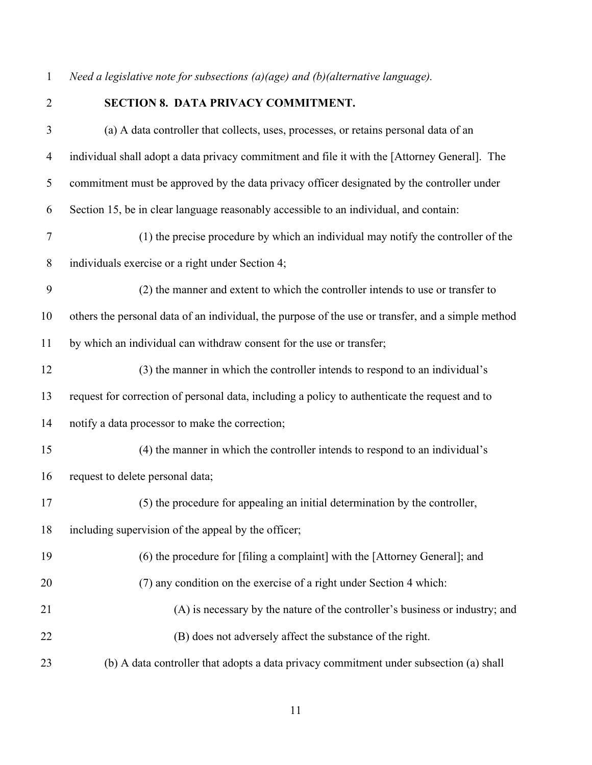*Need a legislative note for subsections (a)(age) and (b)(alternative language).*

<span id="page-17-0"></span>

## **SECTION 8. DATA PRIVACY COMMITMENT.**

| $\mathfrak{Z}$ | (a) A data controller that collects, uses, processes, or retains personal data of an               |
|----------------|----------------------------------------------------------------------------------------------------|
| $\overline{4}$ | individual shall adopt a data privacy commitment and file it with the [Attorney General]. The      |
| 5              | commitment must be approved by the data privacy officer designated by the controller under         |
| 6              | Section 15, be in clear language reasonably accessible to an individual, and contain:              |
| $\tau$         | (1) the precise procedure by which an individual may notify the controller of the                  |
| $8\,$          | individuals exercise or a right under Section 4;                                                   |
| 9              | (2) the manner and extent to which the controller intends to use or transfer to                    |
| 10             | others the personal data of an individual, the purpose of the use or transfer, and a simple method |
| 11             | by which an individual can withdraw consent for the use or transfer;                               |
| 12             | (3) the manner in which the controller intends to respond to an individual's                       |
| 13             | request for correction of personal data, including a policy to authenticate the request and to     |
| 14             | notify a data processor to make the correction;                                                    |
| 15             | (4) the manner in which the controller intends to respond to an individual's                       |
| 16             | request to delete personal data;                                                                   |
| 17             | (5) the procedure for appealing an initial determination by the controller,                        |
| 18             | including supervision of the appeal by the officer;                                                |
| 19             | (6) the procedure for [filing a complaint] with the [Attorney General]; and                        |
| 20             | (7) any condition on the exercise of a right under Section 4 which:                                |
| 21             | (A) is necessary by the nature of the controller's business or industry; and                       |
| 22             | (B) does not adversely affect the substance of the right.                                          |
| 23             | (b) A data controller that adopts a data privacy commitment under subsection (a) shall             |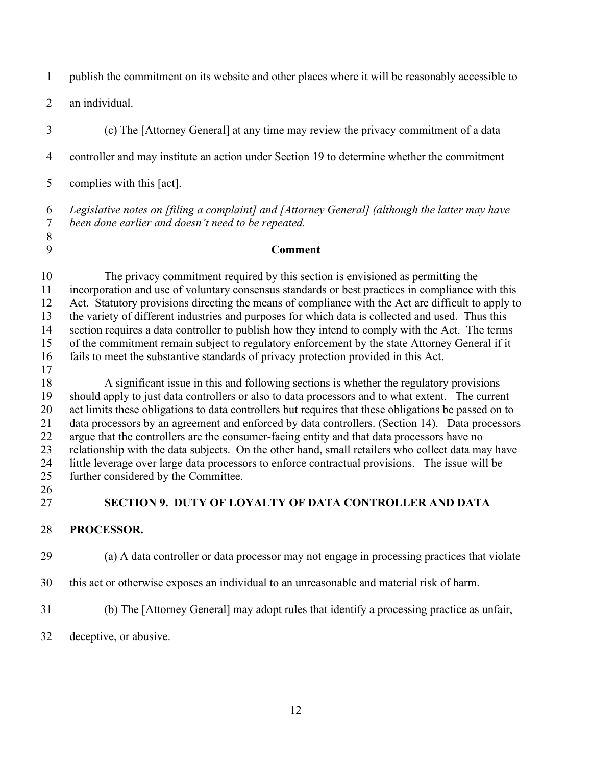publish the commitment on its website and other places where it will be reasonably accessible to

an individual.

- (c) The [Attorney General] at any time may review the privacy commitment of a data controller and may institute an action under Section 19 to determine whether the commitment
- complies with this [act].

 *Legislative notes on [filing a complaint] and [Attorney General] (although the latter may have been done earlier and doesn't need to be repeated.*

#### **Comment**

 The privacy commitment required by this section is envisioned as permitting the incorporation and use of voluntary consensus standards or best practices in compliance with this Act. Statutory provisions directing the means of compliance with the Act are difficult to apply to the variety of different industries and purposes for which data is collected and used. Thus this section requires a data controller to publish how they intend to comply with the Act. The terms of the commitment remain subject to regulatory enforcement by the state Attorney General if it fails to meet the substantive standards of privacy protection provided in this Act.

 A significant issue in this and following sections is whether the regulatory provisions should apply to just data controllers or also to data processors and to what extent. The current act limits these obligations to data controllers but requires that these obligations be passed on to data processors by an agreement and enforced by data controllers. (Section 14). Data processors argue that the controllers are the consumer-facing entity and that data processors have no relationship with the data subjects. On the other hand, small retailers who collect data may have little leverage over large data processors to enforce contractual provisions. The issue will be further considered by the Committee.

<span id="page-18-0"></span>**SECTION 9. DUTY OF LOYALTY OF DATA CONTROLLER AND DATA** 

#### **PROCESSOR.**

(a) A data controller or data processor may not engage in processing practices that violate

- this act or otherwise exposes an individual to an unreasonable and material risk of harm.
- (b) The [Attorney General] may adopt rules that identify a processing practice as unfair,
- deceptive, or abusive.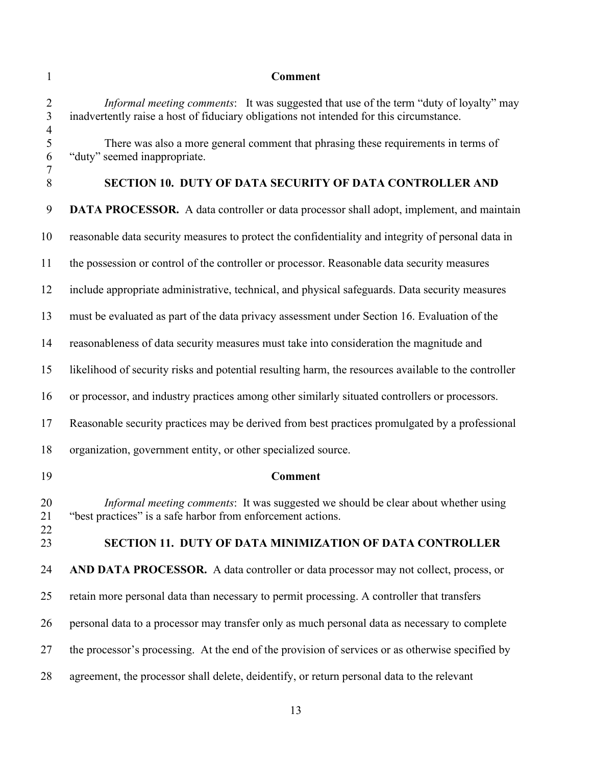<span id="page-19-1"></span><span id="page-19-0"></span>

| $\mathbf{1}$                                       | <b>Comment</b>                                                                                                                                                                    |
|----------------------------------------------------|-----------------------------------------------------------------------------------------------------------------------------------------------------------------------------------|
| $\overline{2}$<br>$\overline{3}$<br>$\overline{4}$ | Informal meeting comments: It was suggested that use of the term "duty of loyalty" may<br>inadvertently raise a host of fiduciary obligations not intended for this circumstance. |
| 5<br>6<br>$\tau$                                   | There was also a more general comment that phrasing these requirements in terms of<br>"duty" seemed inappropriate.                                                                |
| $\,8\,$                                            | SECTION 10. DUTY OF DATA SECURITY OF DATA CONTROLLER AND                                                                                                                          |
| 9                                                  | <b>DATA PROCESSOR.</b> A data controller or data processor shall adopt, implement, and maintain                                                                                   |
| 10                                                 | reasonable data security measures to protect the confidentiality and integrity of personal data in                                                                                |
| 11                                                 | the possession or control of the controller or processor. Reasonable data security measures                                                                                       |
| 12                                                 | include appropriate administrative, technical, and physical safeguards. Data security measures                                                                                    |
| 13                                                 | must be evaluated as part of the data privacy assessment under Section 16. Evaluation of the                                                                                      |
| 14                                                 | reasonableness of data security measures must take into consideration the magnitude and                                                                                           |
| 15                                                 | likelihood of security risks and potential resulting harm, the resources available to the controller                                                                              |
| 16                                                 | or processor, and industry practices among other similarly situated controllers or processors.                                                                                    |
| 17                                                 | Reasonable security practices may be derived from best practices promulgated by a professional                                                                                    |
| 18                                                 | organization, government entity, or other specialized source.                                                                                                                     |
| 19                                                 | <b>Comment</b>                                                                                                                                                                    |
| 20<br>21                                           | Informal meeting comments: It was suggested we should be clear about whether using<br>"best practices" is a safe harbor from enforcement actions.                                 |
| 22<br>23                                           | SECTION 11. DUTY OF DATA MINIMIZATION OF DATA CONTROLLER                                                                                                                          |
| 24                                                 | AND DATA PROCESSOR. A data controller or data processor may not collect, process, or                                                                                              |
| 25                                                 | retain more personal data than necessary to permit processing. A controller that transfers                                                                                        |
| 26                                                 | personal data to a processor may transfer only as much personal data as necessary to complete                                                                                     |
| 27                                                 | the processor's processing. At the end of the provision of services or as otherwise specified by                                                                                  |
| 28                                                 | agreement, the processor shall delete, deidentify, or return personal data to the relevant                                                                                        |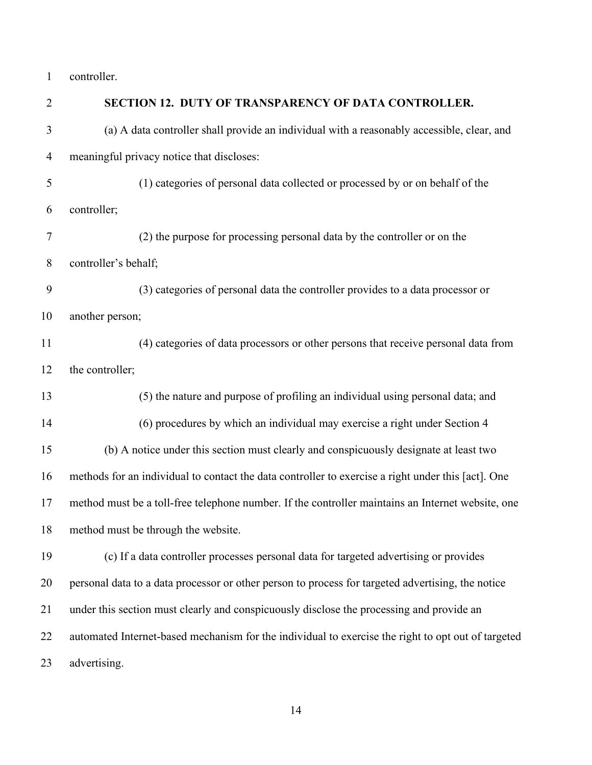controller.

<span id="page-20-0"></span>

| SECTION 12. DUTY OF TRANSPARENCY OF DATA CONTROLLER.                                               |
|----------------------------------------------------------------------------------------------------|
| (a) A data controller shall provide an individual with a reasonably accessible, clear, and         |
| meaningful privacy notice that discloses:                                                          |
| (1) categories of personal data collected or processed by or on behalf of the                      |
| controller;                                                                                        |
| (2) the purpose for processing personal data by the controller or on the                           |
| controller's behalf;                                                                               |
| (3) categories of personal data the controller provides to a data processor or                     |
| another person;                                                                                    |
| (4) categories of data processors or other persons that receive personal data from                 |
| the controller;                                                                                    |
| (5) the nature and purpose of profiling an individual using personal data; and                     |
| (6) procedures by which an individual may exercise a right under Section 4                         |
| (b) A notice under this section must clearly and conspicuously designate at least two              |
| methods for an individual to contact the data controller to exercise a right under this [act]. One |
| method must be a toll-free telephone number. If the controller maintains an Internet website, one  |
| method must be through the website.                                                                |
| (c) If a data controller processes personal data for targeted advertising or provides              |
| personal data to a data processor or other person to process for targeted advertising, the notice  |
| under this section must clearly and conspicuously disclose the processing and provide an           |
| automated Internet-based mechanism for the individual to exercise the right to opt out of targeted |
| advertising.                                                                                       |
|                                                                                                    |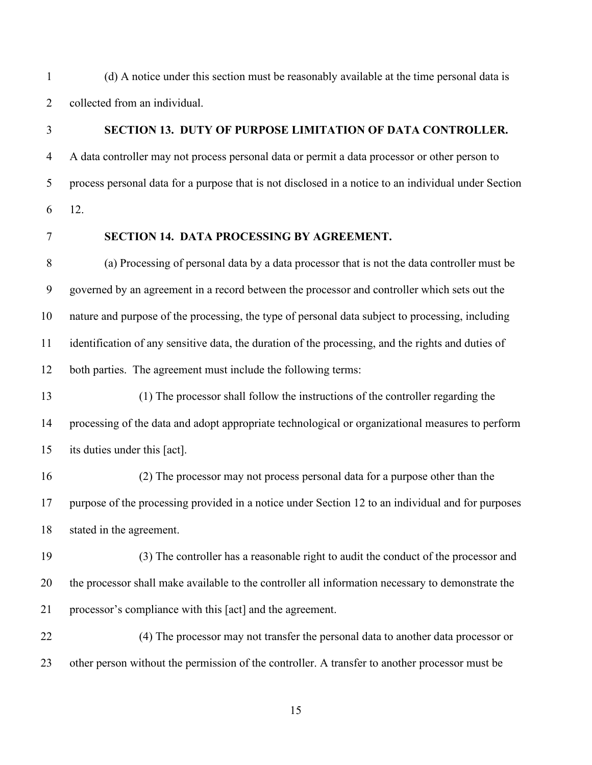(d) A notice under this section must be reasonably available at the time personal data is collected from an individual.

#### <span id="page-21-0"></span>**SECTION 13. DUTY OF PURPOSE LIMITATION OF DATA CONTROLLER.**

 A data controller may not process personal data or permit a data processor or other person to process personal data for a purpose that is not disclosed in a notice to an individual under Section 12.

#### <span id="page-21-1"></span>**SECTION 14. DATA PROCESSING BY AGREEMENT.**

 (a) Processing of personal data by a data processor that is not the data controller must be governed by an agreement in a record between the processor and controller which sets out the nature and purpose of the processing, the type of personal data subject to processing, including identification of any sensitive data, the duration of the processing, and the rights and duties of both parties. The agreement must include the following terms:

 (1) The processor shall follow the instructions of the controller regarding the processing of the data and adopt appropriate technological or organizational measures to perform its duties under this [act].

 (2) The processor may not process personal data for a purpose other than the purpose of the processing provided in a notice under Section 12 to an individual and for purposes stated in the agreement.

 (3) The controller has a reasonable right to audit the conduct of the processor and the processor shall make available to the controller all information necessary to demonstrate the processor's compliance with this [act] and the agreement.

 (4) The processor may not transfer the personal data to another data processor or other person without the permission of the controller. A transfer to another processor must be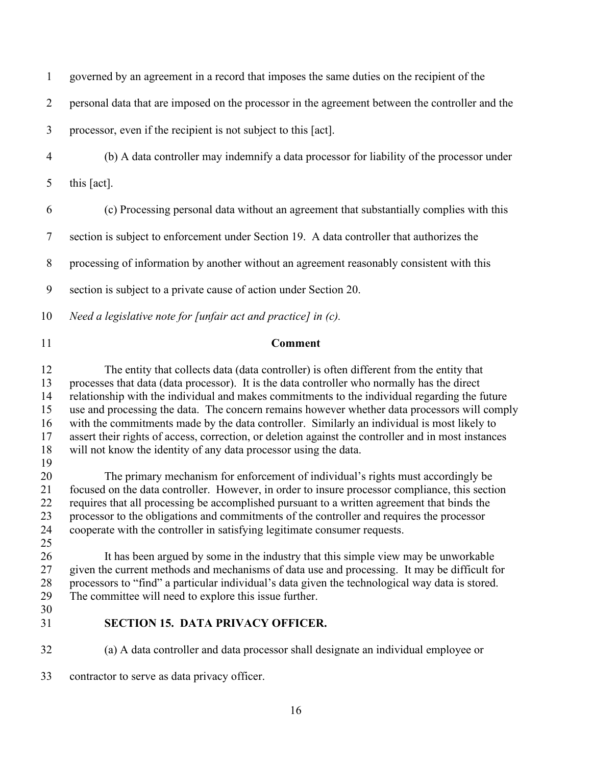governed by an agreement in a record that imposes the same duties on the recipient of the personal data that are imposed on the processor in the agreement between the controller and the processor, even if the recipient is not subject to this [act]. (b) A data controller may indemnify a data processor for liability of the processor under this [act]. (c) Processing personal data without an agreement that substantially complies with this section is subject to enforcement under Section 19. A data controller that authorizes the processing of information by another without an agreement reasonably consistent with this section is subject to a private cause of action under Section 20. *Need a legislative note for [unfair act and practice] in (c).* **Comment**

 The entity that collects data (data controller) is often different from the entity that processes that data (data processor). It is the data controller who normally has the direct relationship with the individual and makes commitments to the individual regarding the future use and processing the data. The concern remains however whether data processors will comply with the commitments made by the data controller. Similarly an individual is most likely to assert their rights of access, correction, or deletion against the controller and in most instances will not know the identity of any data processor using the data. 

20 The primary mechanism for enforcement of individual's rights must accordingly be<br>21 focused on the data controller. However, in order to insure processor compliance, this section focused on the data controller. However, in order to insure processor compliance, this section requires that all processing be accomplished pursuant to a written agreement that binds the processor to the obligations and commitments of the controller and requires the processor cooperate with the controller in satisfying legitimate consumer requests. 

 It has been argued by some in the industry that this simple view may be unworkable given the current methods and mechanisms of data use and processing. It may be difficult for processors to "find" a particular individual's data given the technological way data is stored. The committee will need to explore this issue further.

- 
- 

## <span id="page-22-0"></span>**SECTION 15. DATA PRIVACY OFFICER.**

(a) A data controller and data processor shall designate an individual employee or

contractor to serve as data privacy officer.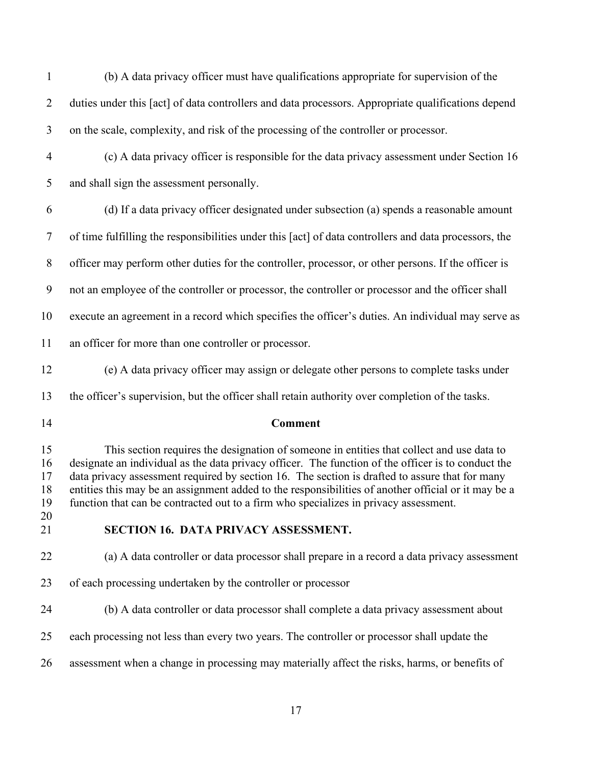(b) A data privacy officer must have qualifications appropriate for supervision of the duties under this [act] of data controllers and data processors. Appropriate qualifications depend on the scale, complexity, and risk of the processing of the controller or processor.

 (c) A data privacy officer is responsible for the data privacy assessment under Section 16 and shall sign the assessment personally.

 (d) If a data privacy officer designated under subsection (a) spends a reasonable amount of time fulfilling the responsibilities under this [act] of data controllers and data processors, the officer may perform other duties for the controller, processor, or other persons. If the officer is not an employee of the controller or processor, the controller or processor and the officer shall execute an agreement in a record which specifies the officer's duties. An individual may serve as an officer for more than one controller or processor.

(e) A data privacy officer may assign or delegate other persons to complete tasks under

the officer's supervision, but the officer shall retain authority over completion of the tasks.

#### **Comment**

 This section requires the designation of someone in entities that collect and use data to designate an individual as the data privacy officer. The function of the officer is to conduct the data privacy assessment required by section 16. The section is drafted to assure that for many entities this may be an assignment added to the responsibilities of another official or it may be a function that can be contracted out to a firm who specializes in privacy assessment.

#### <span id="page-23-0"></span>**SECTION 16. DATA PRIVACY ASSESSMENT.**

(a) A data controller or data processor shall prepare in a record a data privacy assessment

- of each processing undertaken by the controller or processor
- (b) A data controller or data processor shall complete a data privacy assessment about
- each processing not less than every two years. The controller or processor shall update the
- assessment when a change in processing may materially affect the risks, harms, or benefits of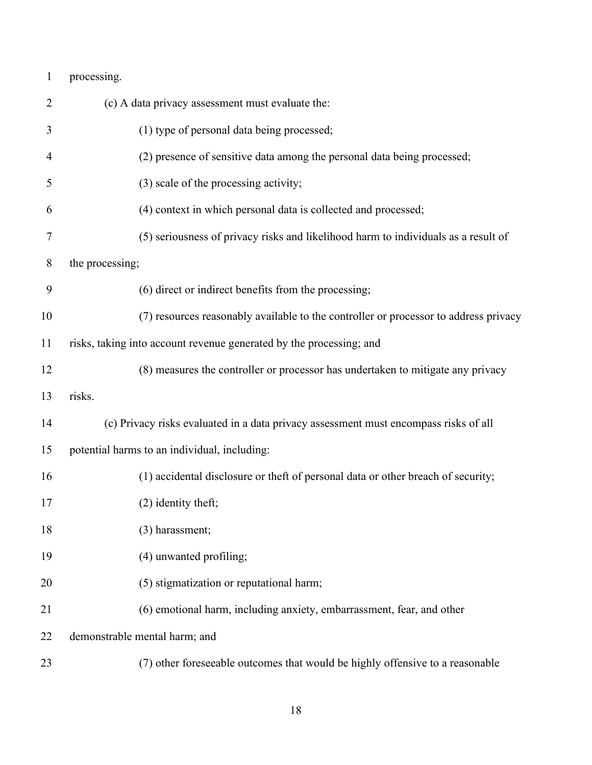| $\mathbf{1}$ | processing.                                                                          |
|--------------|--------------------------------------------------------------------------------------|
| 2            | (c) A data privacy assessment must evaluate the:                                     |
| 3            | (1) type of personal data being processed;                                           |
| 4            | (2) presence of sensitive data among the personal data being processed;              |
| 5            | (3) scale of the processing activity;                                                |
| 6            | (4) context in which personal data is collected and processed;                       |
| 7            | (5) seriousness of privacy risks and likelihood harm to individuals as a result of   |
| 8            | the processing;                                                                      |
| 9            | (6) direct or indirect benefits from the processing;                                 |
| 10           | (7) resources reasonably available to the controller or processor to address privacy |
| 11           | risks, taking into account revenue generated by the processing; and                  |
| 12           | (8) measures the controller or processor has undertaken to mitigate any privacy      |
| 13           | risks.                                                                               |
| 14           | (c) Privacy risks evaluated in a data privacy assessment must encompass risks of all |
| 15           | potential harms to an individual, including:                                         |
| 16           | (1) accidental disclosure or theft of personal data or other breach of security;     |
| 17           | (2) identity theft;                                                                  |
| 18           | (3) harassment;                                                                      |
| 19           | (4) unwanted profiling;                                                              |
| 20           | (5) stigmatization or reputational harm;                                             |
| 21           | (6) emotional harm, including anxiety, embarrassment, fear, and other                |
| 22           | demonstrable mental harm; and                                                        |
| 23           | (7) other foreseeable outcomes that would be highly offensive to a reasonable        |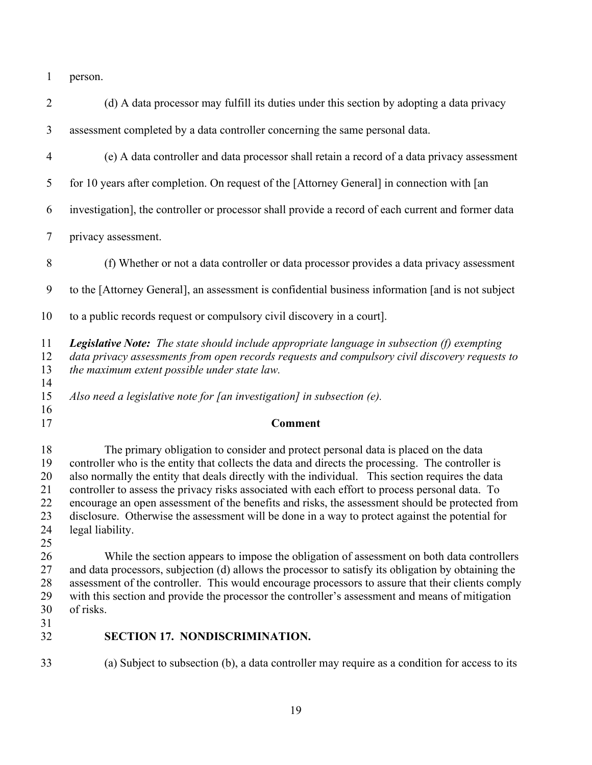person.

<span id="page-25-0"></span>

| $\overline{2}$                         | (d) A data processor may fulfill its duties under this section by adopting a data privacy                                                                                                                                                                                                                                                                                                                                                                                                                                                                                                                                |
|----------------------------------------|--------------------------------------------------------------------------------------------------------------------------------------------------------------------------------------------------------------------------------------------------------------------------------------------------------------------------------------------------------------------------------------------------------------------------------------------------------------------------------------------------------------------------------------------------------------------------------------------------------------------------|
| 3                                      | assessment completed by a data controller concerning the same personal data.                                                                                                                                                                                                                                                                                                                                                                                                                                                                                                                                             |
| $\overline{4}$                         | (e) A data controller and data processor shall retain a record of a data privacy assessment                                                                                                                                                                                                                                                                                                                                                                                                                                                                                                                              |
| 5                                      | for 10 years after completion. On request of the [Attorney General] in connection with [an                                                                                                                                                                                                                                                                                                                                                                                                                                                                                                                               |
| 6                                      | investigation], the controller or processor shall provide a record of each current and former data                                                                                                                                                                                                                                                                                                                                                                                                                                                                                                                       |
| $\tau$                                 | privacy assessment.                                                                                                                                                                                                                                                                                                                                                                                                                                                                                                                                                                                                      |
| $\, 8$                                 | (f) Whether or not a data controller or data processor provides a data privacy assessment                                                                                                                                                                                                                                                                                                                                                                                                                                                                                                                                |
| 9                                      | to the [Attorney General], an assessment is confidential business information [and is not subject                                                                                                                                                                                                                                                                                                                                                                                                                                                                                                                        |
| 10                                     | to a public records request or compulsory civil discovery in a court].                                                                                                                                                                                                                                                                                                                                                                                                                                                                                                                                                   |
| 11<br>12<br>13<br>14                   | <b>Legislative Note:</b> The state should include appropriate language in subsection (f) exempting<br>data privacy assessments from open records requests and compulsory civil discovery requests to<br>the maximum extent possible under state law.                                                                                                                                                                                                                                                                                                                                                                     |
| 15<br>16                               | Also need a legislative note for [an investigation] in subsection $(e)$ .                                                                                                                                                                                                                                                                                                                                                                                                                                                                                                                                                |
| 17                                     | <b>Comment</b>                                                                                                                                                                                                                                                                                                                                                                                                                                                                                                                                                                                                           |
| 18<br>19                               |                                                                                                                                                                                                                                                                                                                                                                                                                                                                                                                                                                                                                          |
| 20<br>21<br>22<br>23<br>24             | The primary obligation to consider and protect personal data is placed on the data<br>controller who is the entity that collects the data and directs the processing. The controller is<br>also normally the entity that deals directly with the individual. This section requires the data<br>controller to assess the privacy risks associated with each effort to process personal data. To<br>encourage an open assessment of the benefits and risks, the assessment should be protected from<br>disclosure. Otherwise the assessment will be done in a way to protect against the potential for<br>legal liability. |
| 25<br>26<br>27<br>28<br>29<br>30<br>31 | While the section appears to impose the obligation of assessment on both data controllers<br>and data processors, subjection (d) allows the processor to satisfy its obligation by obtaining the<br>assessment of the controller. This would encourage processors to assure that their clients comply<br>with this section and provide the processor the controller's assessment and means of mitigation<br>of risks.                                                                                                                                                                                                    |
| 32                                     | <b>SECTION 17. NONDISCRIMINATION.</b>                                                                                                                                                                                                                                                                                                                                                                                                                                                                                                                                                                                    |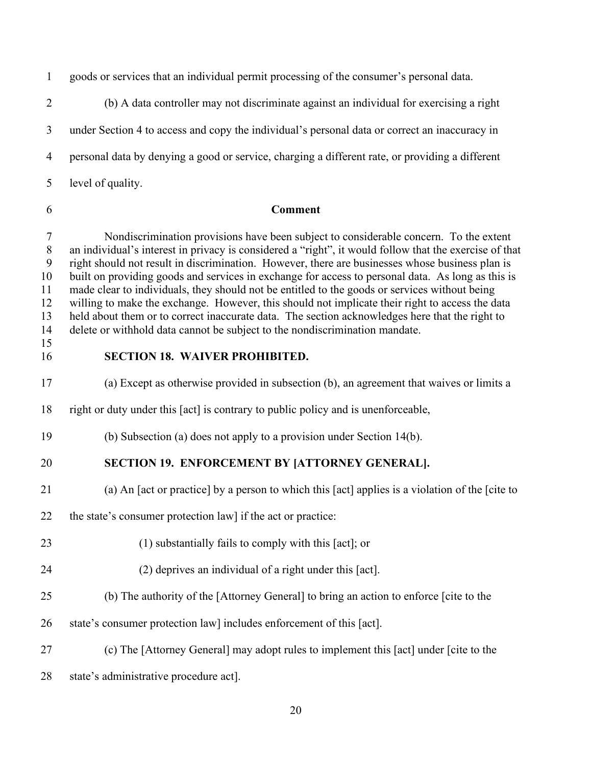goods or services that an individual permit processing of the consumer's personal data.

 (b) A data controller may not discriminate against an individual for exercising a right under Section 4 to access and copy the individual's personal data or correct an inaccuracy in personal data by denying a good or service, charging a different rate, or providing a different level of quality.

#### **Comment**

 Nondiscrimination provisions have been subject to considerable concern. To the extent an individual's interest in privacy is considered a "right", it would follow that the exercise of that right should not result in discrimination. However, there are businesses whose business plan is built on providing goods and services in exchange for access to personal data. As long as this is made clear to individuals, they should not be entitled to the goods or services without being willing to make the exchange. However, this should not implicate their right to access the data held about them or to correct inaccurate data. The section acknowledges here that the right to delete or withhold data cannot be subject to the nondiscrimination mandate.

### <span id="page-26-0"></span>**SECTION 18. WAIVER PROHIBITED.**

(a) Except as otherwise provided in subsection (b), an agreement that waives or limits a

- right or duty under this [act] is contrary to public policy and is unenforceable,
- (b) Subsection (a) does not apply to a provision under Section 14(b).

## <span id="page-26-1"></span>**SECTION 19. ENFORCEMENT BY [ATTORNEY GENERAL].**

- (a) An [act or practice] by a person to which this [act] applies is a violation of the [cite to
- 22 the state's consumer protection law] if the act or practice:
- (1) substantially fails to comply with this [act]; or
- (2) deprives an individual of a right under this [act].
- (b) The authority of the [Attorney General] to bring an action to enforce [cite to the
- state's consumer protection law] includes enforcement of this [act].
- (c) The [Attorney General] may adopt rules to implement this [act] under [cite to the
- 28 state's administrative procedure act].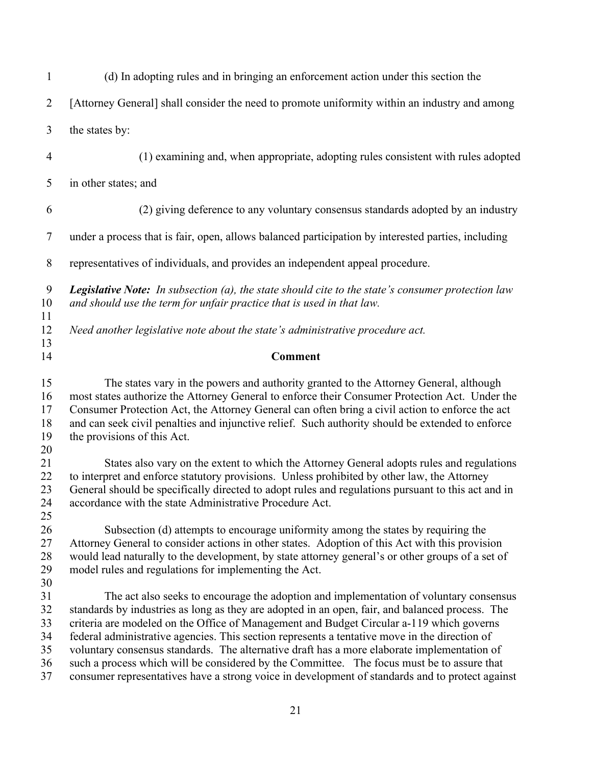| $\mathbf{1}$                                 | (d) In adopting rules and in bringing an enforcement action under this section the                                                                                                                                                                                                                                                                                                                                                                                                                                                                                                                                                                                                     |
|----------------------------------------------|----------------------------------------------------------------------------------------------------------------------------------------------------------------------------------------------------------------------------------------------------------------------------------------------------------------------------------------------------------------------------------------------------------------------------------------------------------------------------------------------------------------------------------------------------------------------------------------------------------------------------------------------------------------------------------------|
| $\overline{2}$                               | [Attorney General] shall consider the need to promote uniformity within an industry and among                                                                                                                                                                                                                                                                                                                                                                                                                                                                                                                                                                                          |
| 3                                            | the states by:                                                                                                                                                                                                                                                                                                                                                                                                                                                                                                                                                                                                                                                                         |
| $\overline{4}$                               | (1) examining and, when appropriate, adopting rules consistent with rules adopted                                                                                                                                                                                                                                                                                                                                                                                                                                                                                                                                                                                                      |
| 5                                            | in other states; and                                                                                                                                                                                                                                                                                                                                                                                                                                                                                                                                                                                                                                                                   |
| 6                                            | (2) giving deference to any voluntary consensus standards adopted by an industry                                                                                                                                                                                                                                                                                                                                                                                                                                                                                                                                                                                                       |
| $\tau$                                       | under a process that is fair, open, allows balanced participation by interested parties, including                                                                                                                                                                                                                                                                                                                                                                                                                                                                                                                                                                                     |
| 8                                            | representatives of individuals, and provides an independent appeal procedure.                                                                                                                                                                                                                                                                                                                                                                                                                                                                                                                                                                                                          |
| 9<br>10                                      | <b>Legislative Note:</b> In subsection (a), the state should cite to the state's consumer protection law<br>and should use the term for unfair practice that is used in that law.                                                                                                                                                                                                                                                                                                                                                                                                                                                                                                      |
| 11<br>12<br>13                               | Need another legislative note about the state's administrative procedure act.                                                                                                                                                                                                                                                                                                                                                                                                                                                                                                                                                                                                          |
| 14                                           | <b>Comment</b>                                                                                                                                                                                                                                                                                                                                                                                                                                                                                                                                                                                                                                                                         |
| 15<br>16<br>17<br>18<br>19<br>20             | The states vary in the powers and authority granted to the Attorney General, although<br>most states authorize the Attorney General to enforce their Consumer Protection Act. Under the<br>Consumer Protection Act, the Attorney General can often bring a civil action to enforce the act<br>and can seek civil penalties and injunctive relief. Such authority should be extended to enforce<br>the provisions of this Act.                                                                                                                                                                                                                                                          |
| 21<br>22<br>23<br>24<br>25                   | States also vary on the extent to which the Attorney General adopts rules and regulations<br>to interpret and enforce statutory provisions. Unless prohibited by other law, the Attorney<br>General should be specifically directed to adopt rules and regulations pursuant to this act and in<br>accordance with the state Administrative Procedure Act.                                                                                                                                                                                                                                                                                                                              |
| 26<br>27<br>28<br>29                         | Subsection (d) attempts to encourage uniformity among the states by requiring the<br>Attorney General to consider actions in other states. Adoption of this Act with this provision<br>would lead naturally to the development, by state attorney general's or other groups of a set of<br>model rules and regulations for implementing the Act.                                                                                                                                                                                                                                                                                                                                       |
| 30<br>31<br>32<br>33<br>34<br>35<br>36<br>37 | The act also seeks to encourage the adoption and implementation of voluntary consensus<br>standards by industries as long as they are adopted in an open, fair, and balanced process. The<br>criteria are modeled on the Office of Management and Budget Circular a-119 which governs<br>federal administrative agencies. This section represents a tentative move in the direction of<br>voluntary consensus standards. The alternative draft has a more elaborate implementation of<br>such a process which will be considered by the Committee. The focus must be to assure that<br>consumer representatives have a strong voice in development of standards and to protect against |
|                                              |                                                                                                                                                                                                                                                                                                                                                                                                                                                                                                                                                                                                                                                                                        |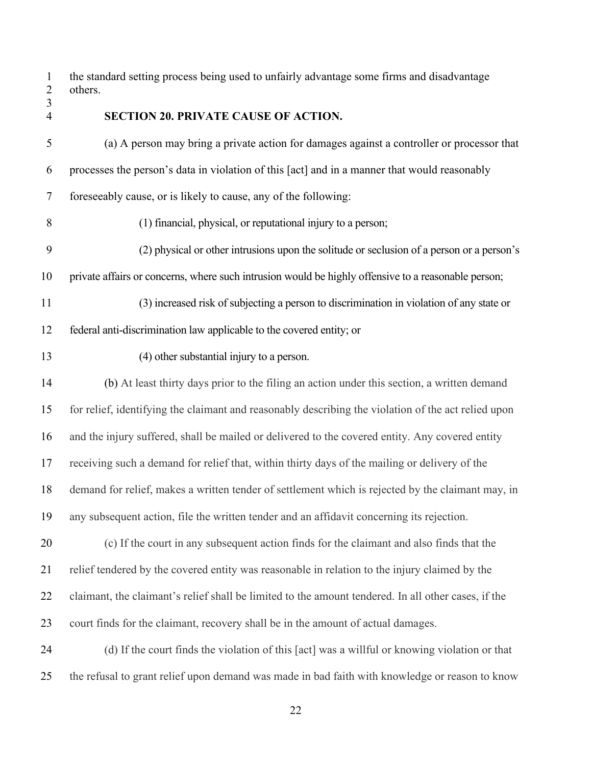the standard setting process being used to unfairly advantage some firms and disadvantage others.

#### <span id="page-28-0"></span>**SECTION 20. PRIVATE CAUSE OF ACTION.**

 (a) A person may bring a private action for damages against a controller or processor that processes the person's data in violation of this [act] and in a manner that would reasonably foreseeably cause, or is likely to cause, any of the following: (1) financial, physical, or reputational injury to a person; (2) physical or other intrusions upon the solitude or seclusion of a person or a person's private affairs or concerns, where such intrusion would be highly offensive to a reasonable person;

(3) increased risk of subjecting a person to discrimination in violation of any state or

federal anti-discrimination law applicable to the covered entity; or

(4) other substantial injury to a person.

 (b) At least thirty days prior to the filing an action under this section, a written demand for relief, identifying the claimant and reasonably describing the violation of the act relied upon and the injury suffered, shall be mailed or delivered to the covered entity. Any covered entity receiving such a demand for relief that, within thirty days of the mailing or delivery of the demand for relief, makes a written tender of settlement which is rejected by the claimant may, in any subsequent action, file the written tender and an affidavit concerning its rejection.

 (c) If the court in any subsequent action finds for the claimant and also finds that the relief tendered by the covered entity was reasonable in relation to the injury claimed by the 22 claimant, the claimant's relief shall be limited to the amount tendered. In all other cases, if the court finds for the claimant, recovery shall be in the amount of actual damages.

 (d) If the court finds the violation of this [act] was a willful or knowing violation or that the refusal to grant relief upon demand was made in bad faith with knowledge or reason to know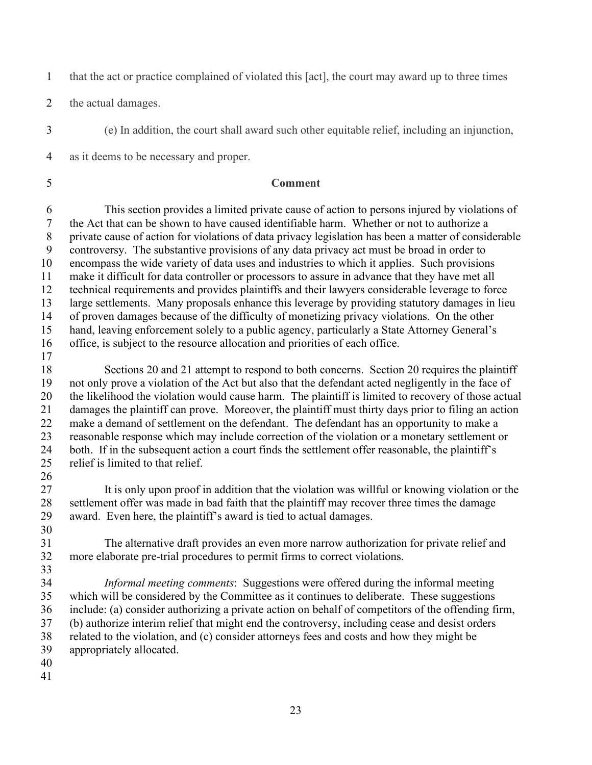that the act or practice complained of violated this [act], the court may award up to three times

the actual damages.

(e) In addition, the court shall award such other equitable relief, including an injunction,

as it deems to be necessary and proper.

## **Comment**

 This section provides a limited private cause of action to persons injured by violations of the Act that can be shown to have caused identifiable harm. Whether or not to authorize a private cause of action for violations of data privacy legislation has been a matter of considerable controversy. The substantive provisions of any data privacy act must be broad in order to encompass the wide variety of data uses and industries to which it applies. Such provisions make it difficult for data controller or processors to assure in advance that they have met all technical requirements and provides plaintiffs and their lawyers considerable leverage to force large settlements. Many proposals enhance this leverage by providing statutory damages in lieu of proven damages because of the difficulty of monetizing privacy violations. On the other hand, leaving enforcement solely to a public agency, particularly a State Attorney General's office, is subject to the resource allocation and priorities of each office.

 Sections 20 and 21 attempt to respond to both concerns. Section 20 requires the plaintiff not only prove a violation of the Act but also that the defendant acted negligently in the face of the likelihood the violation would cause harm. The plaintiff is limited to recovery of those actual damages the plaintiff can prove. Moreover, the plaintiff must thirty days prior to filing an action make a demand of settlement on the defendant. The defendant has an opportunity to make a reasonable response which may include correction of the violation or a monetary settlement or both. If in the subsequent action a court finds the settlement offer reasonable, the plaintiff's relief is limited to that relief.

 $\frac{26}{27}$ It is only upon proof in addition that the violation was willful or knowing violation or the settlement offer was made in bad faith that the plaintiff may recover three times the damage award. Even here, the plaintiff's award is tied to actual damages.

 The alternative draft provides an even more narrow authorization for private relief and more elaborate pre-trial procedures to permit firms to correct violations.

 *Informal meeting comments*: Suggestions were offered during the informal meeting which will be considered by the Committee as it continues to deliberate. These suggestions include: (a) consider authorizing a private action on behalf of competitors of the offending firm, (b) authorize interim relief that might end the controversy, including cease and desist orders related to the violation, and (c) consider attorneys fees and costs and how they might be appropriately allocated.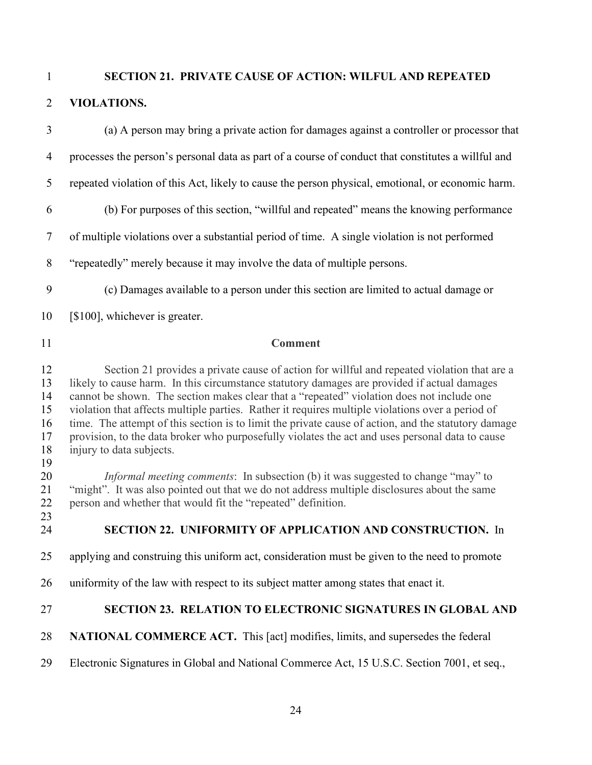<span id="page-30-0"></span>

## **SECTION 21. PRIVATE CAUSE OF ACTION: WILFUL AND REPEATED**

## **VIOLATIONS.**

<span id="page-30-2"></span><span id="page-30-1"></span>

| $\overline{3}$                                                             | (a) A person may bring a private action for damages against a controller or processor that                                                                                                                                                                                                                                                                                                                                                                                                                                                                                                                                                                                                                                                                                                                                                                                                                                                                 |
|----------------------------------------------------------------------------|------------------------------------------------------------------------------------------------------------------------------------------------------------------------------------------------------------------------------------------------------------------------------------------------------------------------------------------------------------------------------------------------------------------------------------------------------------------------------------------------------------------------------------------------------------------------------------------------------------------------------------------------------------------------------------------------------------------------------------------------------------------------------------------------------------------------------------------------------------------------------------------------------------------------------------------------------------|
| $\overline{4}$                                                             | processes the person's personal data as part of a course of conduct that constitutes a willful and                                                                                                                                                                                                                                                                                                                                                                                                                                                                                                                                                                                                                                                                                                                                                                                                                                                         |
| 5                                                                          | repeated violation of this Act, likely to cause the person physical, emotional, or economic harm.                                                                                                                                                                                                                                                                                                                                                                                                                                                                                                                                                                                                                                                                                                                                                                                                                                                          |
| 6                                                                          | (b) For purposes of this section, "willful and repeated" means the knowing performance                                                                                                                                                                                                                                                                                                                                                                                                                                                                                                                                                                                                                                                                                                                                                                                                                                                                     |
| $\tau$                                                                     | of multiple violations over a substantial period of time. A single violation is not performed                                                                                                                                                                                                                                                                                                                                                                                                                                                                                                                                                                                                                                                                                                                                                                                                                                                              |
| $8\,$                                                                      | "repeatedly" merely because it may involve the data of multiple persons.                                                                                                                                                                                                                                                                                                                                                                                                                                                                                                                                                                                                                                                                                                                                                                                                                                                                                   |
| 9                                                                          | (c) Damages available to a person under this section are limited to actual damage or                                                                                                                                                                                                                                                                                                                                                                                                                                                                                                                                                                                                                                                                                                                                                                                                                                                                       |
| 10                                                                         | [\$100], whichever is greater.                                                                                                                                                                                                                                                                                                                                                                                                                                                                                                                                                                                                                                                                                                                                                                                                                                                                                                                             |
| 11                                                                         | <b>Comment</b>                                                                                                                                                                                                                                                                                                                                                                                                                                                                                                                                                                                                                                                                                                                                                                                                                                                                                                                                             |
| 12<br>13<br>14<br>15<br>16<br>17<br>18<br>19<br>20<br>21<br>22<br>23<br>24 | Section 21 provides a private cause of action for willful and repeated violation that are a<br>likely to cause harm. In this circumstance statutory damages are provided if actual damages<br>cannot be shown. The section makes clear that a "repeated" violation does not include one<br>violation that affects multiple parties. Rather it requires multiple violations over a period of<br>time. The attempt of this section is to limit the private cause of action, and the statutory damage<br>provision, to the data broker who purposefully violates the act and uses personal data to cause<br>injury to data subjects.<br><i>Informal meeting comments</i> : In subsection (b) it was suggested to change "may" to<br>"might". It was also pointed out that we do not address multiple disclosures about the same<br>person and whether that would fit the "repeated" definition.<br>SECTION 22. UNIFORMITY OF APPLICATION AND CONSTRUCTION. In |
| 25                                                                         | applying and construing this uniform act, consideration must be given to the need to promote                                                                                                                                                                                                                                                                                                                                                                                                                                                                                                                                                                                                                                                                                                                                                                                                                                                               |
| 26                                                                         | uniformity of the law with respect to its subject matter among states that enact it.                                                                                                                                                                                                                                                                                                                                                                                                                                                                                                                                                                                                                                                                                                                                                                                                                                                                       |
| 27                                                                         | SECTION 23. RELATION TO ELECTRONIC SIGNATURES IN GLOBAL AND                                                                                                                                                                                                                                                                                                                                                                                                                                                                                                                                                                                                                                                                                                                                                                                                                                                                                                |
| 28                                                                         | <b>NATIONAL COMMERCE ACT.</b> This [act] modifies, limits, and supersedes the federal                                                                                                                                                                                                                                                                                                                                                                                                                                                                                                                                                                                                                                                                                                                                                                                                                                                                      |
| 29                                                                         | Electronic Signatures in Global and National Commerce Act, 15 U.S.C. Section 7001, et seq.,                                                                                                                                                                                                                                                                                                                                                                                                                                                                                                                                                                                                                                                                                                                                                                                                                                                                |